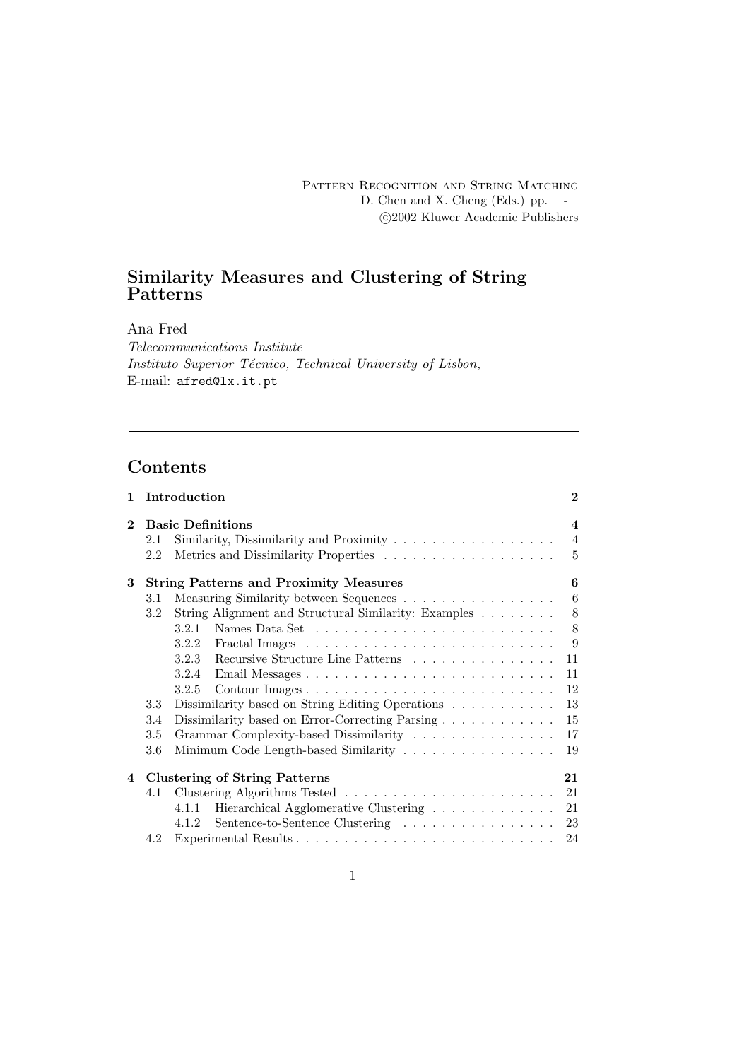PATTERN RECOGNITION AND STRING MATCHING D. Chen and X. Cheng (Eds.) pp.  $-$  -  $$ c 2002 Kluwer Academic Publishers

# **Similarity Measures and Clustering of String Patterns**

Ana Fred *Telecommunications Institute Instituto Superior Técnico, Technical University of Lisbon,* E-mail: afred@lx.it.pt

# **Contents**

| 1.           |            | Introduction                                                                                                                       | $\bf{2}$                                             |
|--------------|------------|------------------------------------------------------------------------------------------------------------------------------------|------------------------------------------------------|
| $\mathbf{2}$ | 2.1<br>2.2 | <b>Basic Definitions</b><br>Similarity, Dissimilarity and Proximity                                                                | $\boldsymbol{4}$<br>$\overline{4}$<br>$\overline{5}$ |
| 3            | 3.1        | <b>String Patterns and Proximity Measures</b><br>Measuring Similarity between Sequences                                            | 6<br>6                                               |
|              | 3.2        | String Alignment and Structural Similarity: Examples<br>3.2.1<br>3.2.2                                                             | 8<br>8<br>9                                          |
|              |            | 3.2.3<br>Recursive Structure Line Patterns<br>3.2.4                                                                                | 11<br>11                                             |
|              | 3.3<br>3.4 | 3.2.5<br>Dissimilarity based on String Editing Operations $\ldots \ldots \ldots$                                                   | 12<br>13<br>15                                       |
|              | 3.5<br>3.6 | Dissimilarity based on Error-Correcting Parsing<br>Grammar Complexity-based Dissimilarity<br>Minimum Code Length-based Similarity  | 17<br>19                                             |
| 4            | 4.1        | <b>Clustering of String Patterns</b><br>Hierarchical Agglomerative Clustering<br>4.1.1<br>Sentence-to-Sentence Clustering<br>4.1.2 | 21<br>21<br>21<br>23                                 |
|              | 4.2        |                                                                                                                                    | 24                                                   |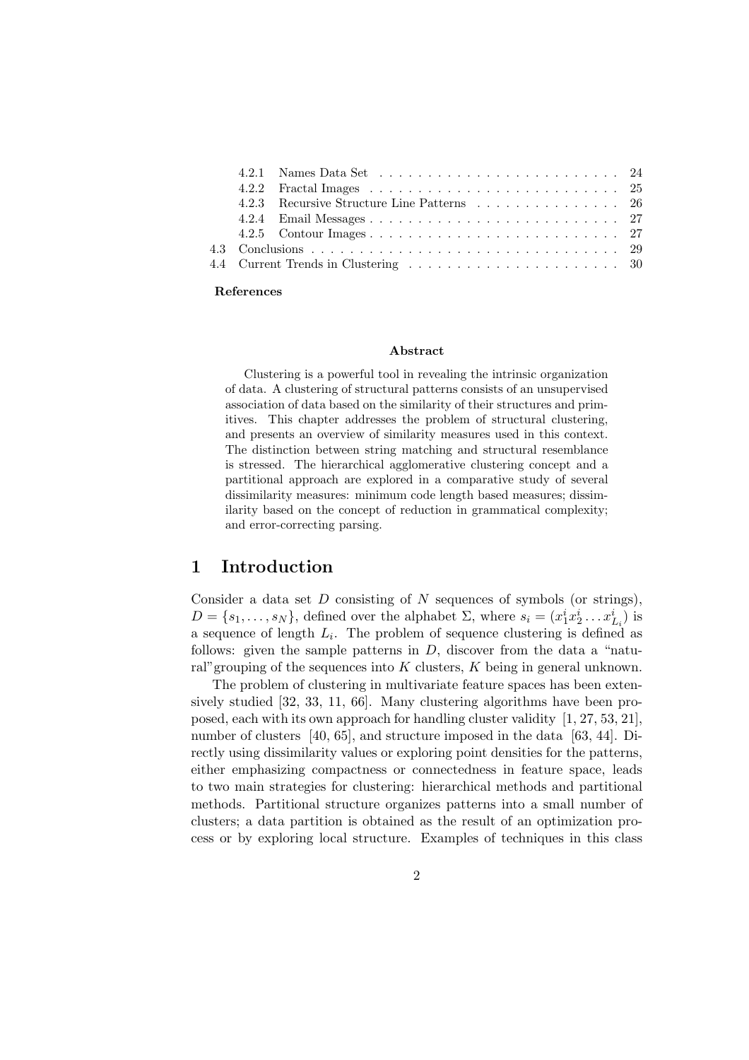|  | 4.2.3 Recursive Structure Line Patterns 26 |  |
|--|--------------------------------------------|--|
|  |                                            |  |
|  |                                            |  |
|  |                                            |  |
|  |                                            |  |
|  |                                            |  |

#### **References**

#### **Abstract**

Clustering is a powerful tool in revealing the intrinsic organization of data. A clustering of structural patterns consists of an unsupervised association of data based on the similarity of their structures and primitives. This chapter addresses the problem of structural clustering, and presents an overview of similarity measures used in this context. The distinction between string matching and structural resemblance is stressed. The hierarchical agglomerative clustering concept and a partitional approach are explored in a comparative study of several dissimilarity measures: minimum code length based measures; dissimilarity based on the concept of reduction in grammatical complexity; and error-correcting parsing.

## **1 Introduction**

Consider a data set  $D$  consisting of  $N$  sequences of symbols (or strings),  $D = \{s_1, \ldots, s_N\}$ , defined over the alphabet  $\Sigma$ , where  $s_i = (x_1^i x_2^i \ldots x_{L_i}^i)$  is a sequence of length L*i*. The problem of sequence clustering is defined as follows: given the sample patterns in  $D$ , discover from the data a "natural" grouping of the sequences into  $K$  clusters,  $K$  being in general unknown.

The problem of clustering in multivariate feature spaces has been extensively studied [32, 33, 11, 66]. Many clustering algorithms have been proposed, each with its own approach for handling cluster validity [1, 27, 53, 21], number of clusters [40, 65], and structure imposed in the data [63, 44]. Directly using dissimilarity values or exploring point densities for the patterns, either emphasizing compactness or connectedness in feature space, leads to two main strategies for clustering: hierarchical methods and partitional methods. Partitional structure organizes patterns into a small number of clusters; a data partition is obtained as the result of an optimization process or by exploring local structure. Examples of techniques in this class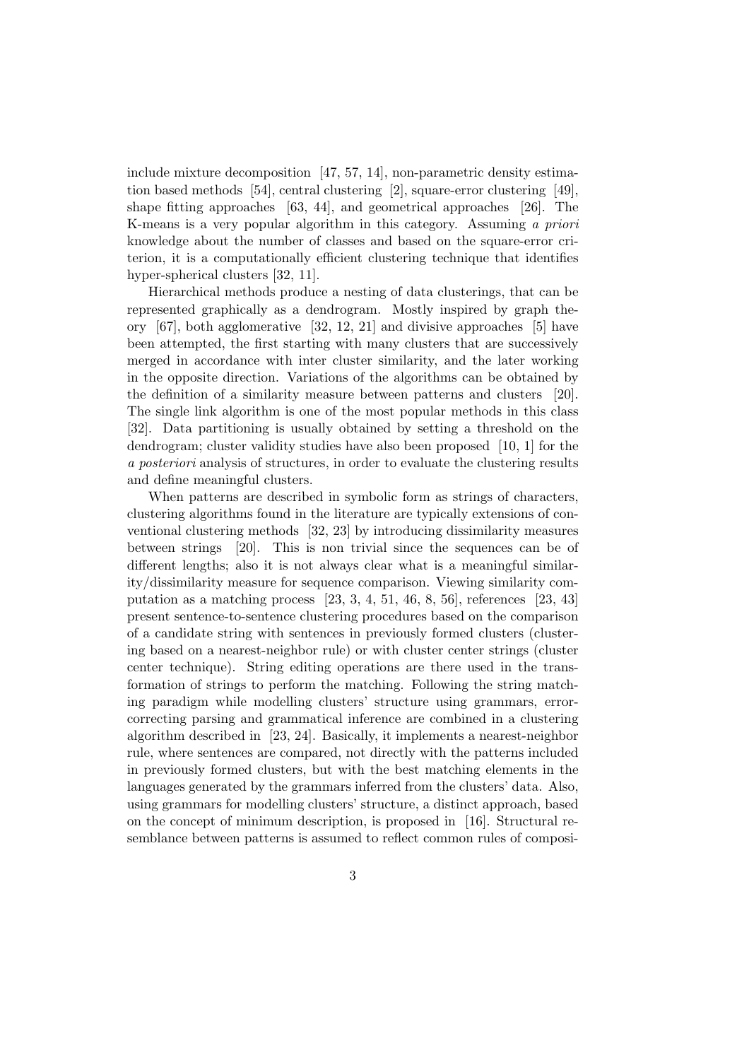include mixture decomposition [47, 57, 14], non-parametric density estimation based methods [54], central clustering [2], square-error clustering [49], shape fitting approaches [63, 44], and geometrical approaches [26]. The K-means is a very popular algorithm in this category. Assuming *a priori* knowledge about the number of classes and based on the square-error criterion, it is a computationally efficient clustering technique that identifies hyper-spherical clusters [32, 11].

Hierarchical methods produce a nesting of data clusterings, that can be represented graphically as a dendrogram. Mostly inspired by graph theory [67], both agglomerative [32, 12, 21] and divisive approaches [5] have been attempted, the first starting with many clusters that are successively merged in accordance with inter cluster similarity, and the later working in the opposite direction. Variations of the algorithms can be obtained by the definition of a similarity measure between patterns and clusters [20]. The single link algorithm is one of the most popular methods in this class [32]. Data partitioning is usually obtained by setting a threshold on the dendrogram; cluster validity studies have also been proposed [10, 1] for the *a posteriori* analysis of structures, in order to evaluate the clustering results and define meaningful clusters.

When patterns are described in symbolic form as strings of characters, clustering algorithms found in the literature are typically extensions of conventional clustering methods [32, 23] by introducing dissimilarity measures between strings [20]. This is non trivial since the sequences can be of different lengths; also it is not always clear what is a meaningful similarity/dissimilarity measure for sequence comparison. Viewing similarity computation as a matching process  $[23, 3, 4, 51, 46, 8, 56]$ , references  $[23, 43]$ present sentence-to-sentence clustering procedures based on the comparison of a candidate string with sentences in previously formed clusters (clustering based on a nearest-neighbor rule) or with cluster center strings (cluster center technique). String editing operations are there used in the transformation of strings to perform the matching. Following the string matching paradigm while modelling clusters' structure using grammars, errorcorrecting parsing and grammatical inference are combined in a clustering algorithm described in [23, 24]. Basically, it implements a nearest-neighbor rule, where sentences are compared, not directly with the patterns included in previously formed clusters, but with the best matching elements in the languages generated by the grammars inferred from the clusters' data. Also, using grammars for modelling clusters' structure, a distinct approach, based on the concept of minimum description, is proposed in [16]. Structural resemblance between patterns is assumed to reflect common rules of composi-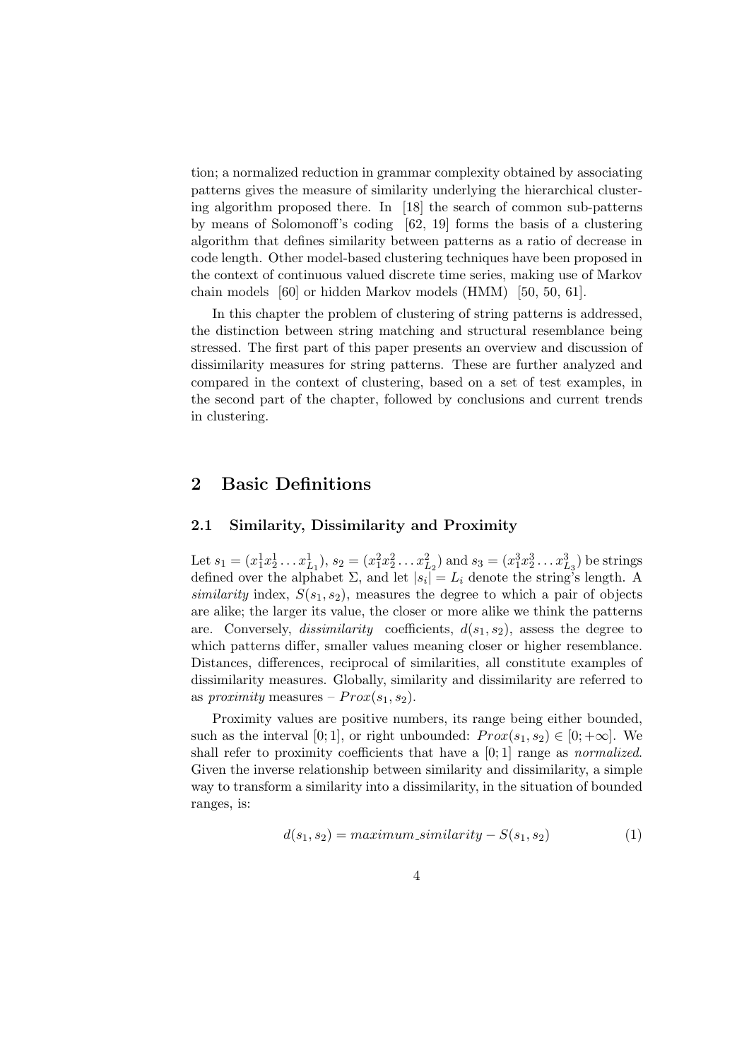tion; a normalized reduction in grammar complexity obtained by associating patterns gives the measure of similarity underlying the hierarchical clustering algorithm proposed there. In [18] the search of common sub-patterns by means of Solomonoff's coding [62, 19] forms the basis of a clustering algorithm that defines similarity between patterns as a ratio of decrease in code length. Other model-based clustering techniques have been proposed in the context of continuous valued discrete time series, making use of Markov chain models [60] or hidden Markov models (HMM) [50, 50, 61].

In this chapter the problem of clustering of string patterns is addressed, the distinction between string matching and structural resemblance being stressed. The first part of this paper presents an overview and discussion of dissimilarity measures for string patterns. These are further analyzed and compared in the context of clustering, based on a set of test examples, in the second part of the chapter, followed by conclusions and current trends in clustering.

## **2 Basic Definitions**

#### **2.1 Similarity, Dissimilarity and Proximity**

Let  $s_1 = (x_1^1 x_2^1 \dots x_{L_1}^1)$ ,  $s_2 = (x_1^2 x_2^2 \dots x_{L_2}^2)$  and  $s_3 = (x_1^3 x_2^3 \dots x_{L_3}^3)$  be strings defined over the alphabet  $\Sigma$ , and let  $|s_i|=L_i$  denote the string's length. A *similarity* index,  $S(s_1, s_2)$ , measures the degree to which a pair of objects are alike; the larger its value, the closer or more alike we think the patterns are. Conversely, *dissimilarity* coefficients,  $d(s_1, s_2)$ , assess the degree to which patterns differ, smaller values meaning closer or higher resemblance. Distances, differences, reciprocal of similarities, all constitute examples of dissimilarity measures. Globally, similarity and dissimilarity are referred to as *proximity* measures –  $Prox(s_1, s_2)$ .

Proximity values are positive numbers, its range being either bounded, such as the interval [0; 1], or right unbounded:  $Prox(s_1, s_2) \in [0; +\infty]$ . We shall refer to proximity coefficients that have a [0; 1] range as *normalized*. Given the inverse relationship between similarity and dissimilarity, a simple way to transform a similarity into a dissimilarity, in the situation of bounded ranges, is:

$$
d(s_1, s_2) = maximum\text{.}similarity - S(s_1, s_2)
$$
\n<sup>(1)</sup>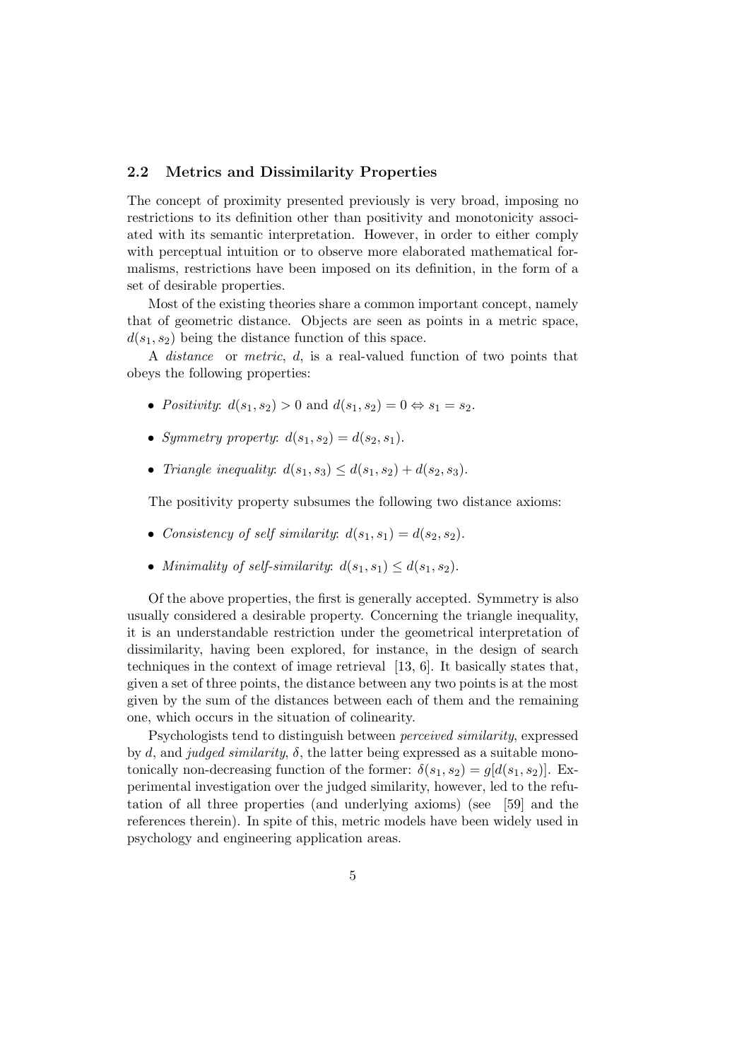#### **2.2 Metrics and Dissimilarity Properties**

The concept of proximity presented previously is very broad, imposing no restrictions to its definition other than positivity and monotonicity associated with its semantic interpretation. However, in order to either comply with perceptual intuition or to observe more elaborated mathematical formalisms, restrictions have been imposed on its definition, in the form of a set of desirable properties.

Most of the existing theories share a common important concept, namely that of geometric distance. Objects are seen as points in a metric space,  $d(s_1, s_2)$  being the distance function of this space.

A *distance* or *metric*, d, is a real-valued function of two points that obeys the following properties:

- *Positivity:*  $d(s_1, s_2) > 0$  and  $d(s_1, s_2) = 0 \Leftrightarrow s_1 = s_2$ .
- *Symmetry property:*  $d(s_1, s_2) = d(s_2, s_1)$ .
- *Triangle inequality:*  $d(s_1, s_3) \leq d(s_1, s_2) + d(s_2, s_3)$ .

The positivity property subsumes the following two distance axioms:

- *Consistency of self similarity:*  $d(s_1, s_1) = d(s_2, s_2)$ .
- *Minimality of self-similarity:*  $d(s_1, s_1) \leq d(s_1, s_2)$ .

Of the above properties, the first is generally accepted. Symmetry is also usually considered a desirable property. Concerning the triangle inequality, it is an understandable restriction under the geometrical interpretation of dissimilarity, having been explored, for instance, in the design of search techniques in the context of image retrieval [13, 6]. It basically states that, given a set of three points, the distance between any two points is at the most given by the sum of the distances between each of them and the remaining one, which occurs in the situation of colinearity.

Psychologists tend to distinguish between *perceived similarity*, expressed by d, and *judged similarity*, δ, the latter being expressed as a suitable monotonically non-decreasing function of the former:  $\delta(s_1, s_2) = q[d(s_1, s_2)]$ . Experimental investigation over the judged similarity, however, led to the refutation of all three properties (and underlying axioms) (see [59] and the references therein). In spite of this, metric models have been widely used in psychology and engineering application areas.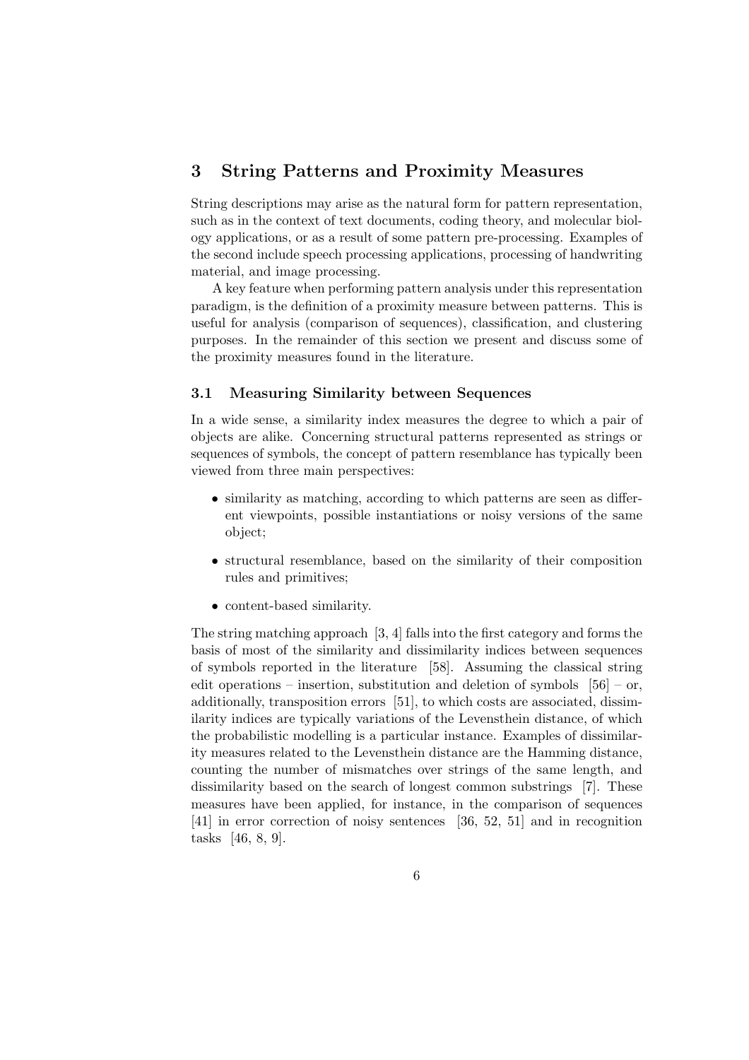# **3 String Patterns and Proximity Measures**

String descriptions may arise as the natural form for pattern representation, such as in the context of text documents, coding theory, and molecular biology applications, or as a result of some pattern pre-processing. Examples of the second include speech processing applications, processing of handwriting material, and image processing.

A key feature when performing pattern analysis under this representation paradigm, is the definition of a proximity measure between patterns. This is useful for analysis (comparison of sequences), classification, and clustering purposes. In the remainder of this section we present and discuss some of the proximity measures found in the literature.

### **3.1 Measuring Similarity between Sequences**

In a wide sense, a similarity index measures the degree to which a pair of objects are alike. Concerning structural patterns represented as strings or sequences of symbols, the concept of pattern resemblance has typically been viewed from three main perspectives:

- similarity as matching, according to which patterns are seen as different viewpoints, possible instantiations or noisy versions of the same object;
- structural resemblance, based on the similarity of their composition rules and primitives;
- content-based similarity.

The string matching approach [3, 4] falls into the first category and forms the basis of most of the similarity and dissimilarity indices between sequences of symbols reported in the literature [58]. Assuming the classical string edit operations – insertion, substitution and deletion of symbols  $[56]$  – or, additionally, transposition errors [51], to which costs are associated, dissimilarity indices are typically variations of the Levensthein distance, of which the probabilistic modelling is a particular instance. Examples of dissimilarity measures related to the Levensthein distance are the Hamming distance, counting the number of mismatches over strings of the same length, and dissimilarity based on the search of longest common substrings [7]. These measures have been applied, for instance, in the comparison of sequences [41] in error correction of noisy sentences [36, 52, 51] and in recognition tasks [46, 8, 9].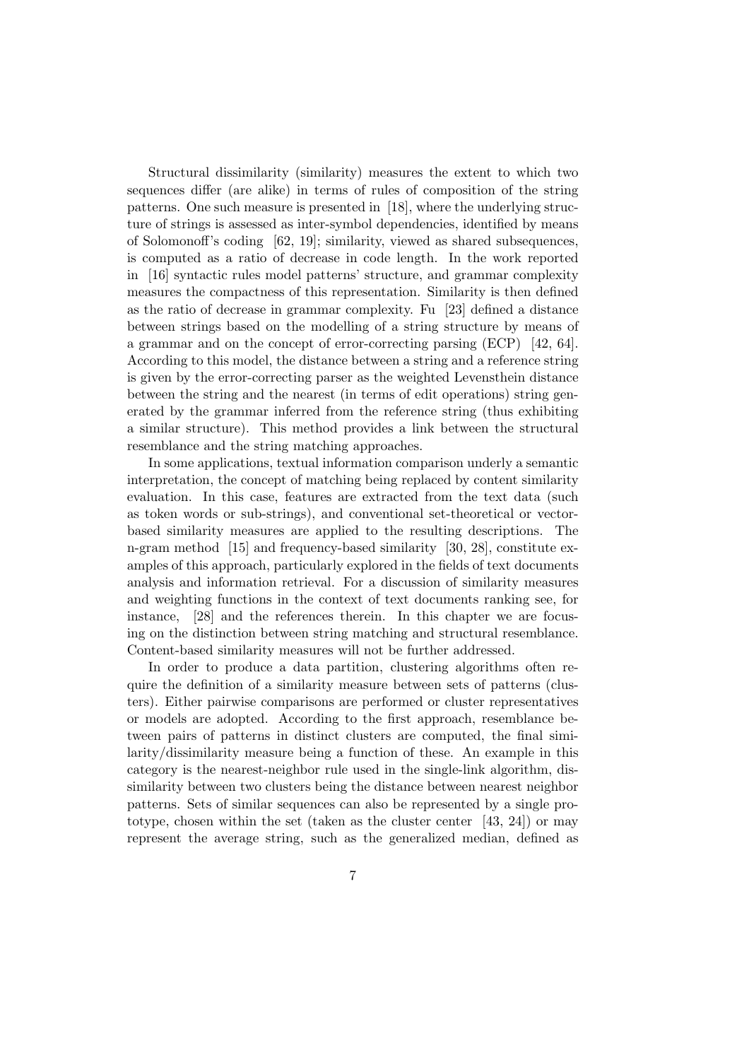Structural dissimilarity (similarity) measures the extent to which two sequences differ (are alike) in terms of rules of composition of the string patterns. One such measure is presented in [18], where the underlying structure of strings is assessed as inter-symbol dependencies, identified by means of Solomonoff's coding [62, 19]; similarity, viewed as shared subsequences, is computed as a ratio of decrease in code length. In the work reported in [16] syntactic rules model patterns' structure, and grammar complexity measures the compactness of this representation. Similarity is then defined as the ratio of decrease in grammar complexity. Fu [23] defined a distance between strings based on the modelling of a string structure by means of a grammar and on the concept of error-correcting parsing (ECP) [42, 64]. According to this model, the distance between a string and a reference string is given by the error-correcting parser as the weighted Levensthein distance between the string and the nearest (in terms of edit operations) string generated by the grammar inferred from the reference string (thus exhibiting a similar structure). This method provides a link between the structural resemblance and the string matching approaches.

In some applications, textual information comparison underly a semantic interpretation, the concept of matching being replaced by content similarity evaluation. In this case, features are extracted from the text data (such as token words or sub-strings), and conventional set-theoretical or vectorbased similarity measures are applied to the resulting descriptions. The n-gram method [15] and frequency-based similarity [30, 28], constitute examples of this approach, particularly explored in the fields of text documents analysis and information retrieval. For a discussion of similarity measures and weighting functions in the context of text documents ranking see, for instance, [28] and the references therein. In this chapter we are focusing on the distinction between string matching and structural resemblance. Content-based similarity measures will not be further addressed.

In order to produce a data partition, clustering algorithms often require the definition of a similarity measure between sets of patterns (clusters). Either pairwise comparisons are performed or cluster representatives or models are adopted. According to the first approach, resemblance between pairs of patterns in distinct clusters are computed, the final similarity/dissimilarity measure being a function of these. An example in this category is the nearest-neighbor rule used in the single-link algorithm, dissimilarity between two clusters being the distance between nearest neighbor patterns. Sets of similar sequences can also be represented by a single prototype, chosen within the set (taken as the cluster center [43, 24]) or may represent the average string, such as the generalized median, defined as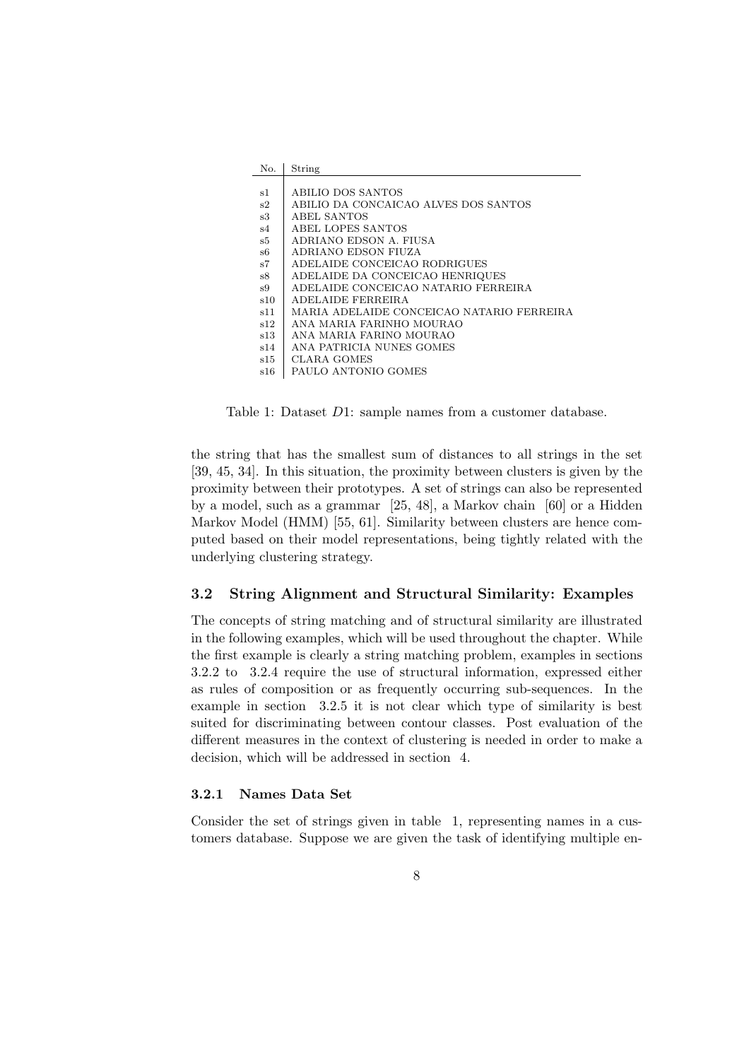| No.          | String                                    |
|--------------|-------------------------------------------|
|              |                                           |
| s1           | ABILIO DOS SANTOS                         |
| s2           | ABILIO DA CONCAICAO ALVES DOS SANTOS      |
| $_{\rm s3}$  | ABEL SANTOS                               |
| s4           | ABEL LOPES SANTOS                         |
| s5           | ADRIANO EDSON A. FIUSA                    |
| s6           | ADRIANO EDSON FIUZA                       |
| s7           | ADELAIDE CONCEICAO RODRIGUES              |
| s8           | ADELAIDE DA CONCEICAO HENRIQUES           |
| s9           | ADELAIDE CONCEICAO NATARIO FERREIRA       |
| s10          | ADELAIDE FERREIRA                         |
| s11          | MARIA ADELAIDE CONCEICAO NATARIO FERREIRA |
| s12          | ANA MARIA FARINHO MOURAO                  |
| s13          | ANA MARIA FARINO MOURAO                   |
| s14          | ANA PATRICIA NUNES GOMES                  |
| s15          | CLARA GOMES                               |
| $_{\rm s16}$ | PAULO ANTONIO GOMES                       |
|              |                                           |

Table 1: Dataset D1: sample names from a customer database.

the string that has the smallest sum of distances to all strings in the set [39, 45, 34]. In this situation, the proximity between clusters is given by the proximity between their prototypes. A set of strings can also be represented by a model, such as a grammar [25, 48], a Markov chain [60] or a Hidden Markov Model (HMM) [55, 61]. Similarity between clusters are hence computed based on their model representations, being tightly related with the underlying clustering strategy.

#### **3.2 String Alignment and Structural Similarity: Examples**

The concepts of string matching and of structural similarity are illustrated in the following examples, which will be used throughout the chapter. While the first example is clearly a string matching problem, examples in sections 3.2.2 to 3.2.4 require the use of structural information, expressed either as rules of composition or as frequently occurring sub-sequences. In the example in section 3.2.5 it is not clear which type of similarity is best suited for discriminating between contour classes. Post evaluation of the different measures in the context of clustering is needed in order to make a decision, which will be addressed in section 4.

#### **3.2.1 Names Data Set**

Consider the set of strings given in table 1, representing names in a customers database. Suppose we are given the task of identifying multiple en-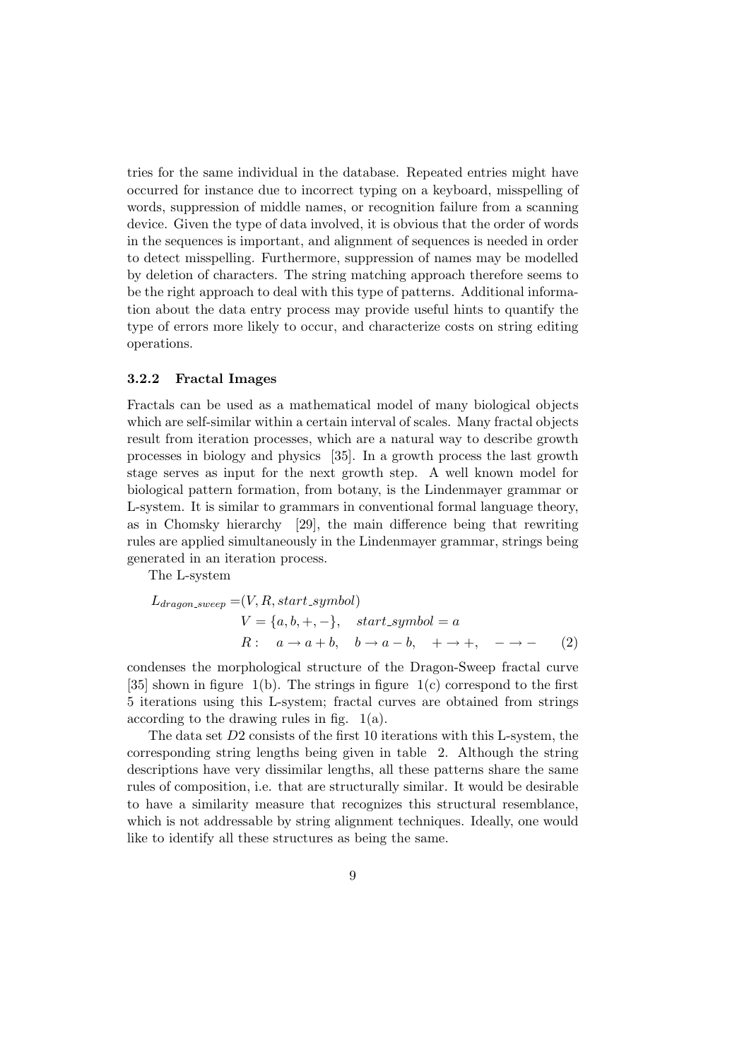tries for the same individual in the database. Repeated entries might have occurred for instance due to incorrect typing on a keyboard, misspelling of words, suppression of middle names, or recognition failure from a scanning device. Given the type of data involved, it is obvious that the order of words in the sequences is important, and alignment of sequences is needed in order to detect misspelling. Furthermore, suppression of names may be modelled by deletion of characters. The string matching approach therefore seems to be the right approach to deal with this type of patterns. Additional information about the data entry process may provide useful hints to quantify the type of errors more likely to occur, and characterize costs on string editing operations.

#### **3.2.2 Fractal Images**

Fractals can be used as a mathematical model of many biological objects which are self-similar within a certain interval of scales. Many fractal objects result from iteration processes, which are a natural way to describe growth processes in biology and physics [35]. In a growth process the last growth stage serves as input for the next growth step. A well known model for biological pattern formation, from botany, is the Lindenmayer grammar or L-system. It is similar to grammars in conventional formal language theory, as in Chomsky hierarchy [29], the main difference being that rewriting rules are applied simultaneously in the Lindenmayer grammar, strings being generated in an iteration process.

The L-system

$$
L_{dragon\_sweep} = (V, R, start\_symbol)
$$
  
\n
$$
V = \{a, b, +, -\}, \quad start\_symbol = a
$$
  
\n
$$
R: a \rightarrow a + b, \quad b \rightarrow a - b, \quad + \rightarrow +, \quad - \rightarrow -
$$
 (2)

condenses the morphological structure of the Dragon-Sweep fractal curve [35] shown in figure 1(b). The strings in figure 1(c) correspond to the first 5 iterations using this L-system; fractal curves are obtained from strings according to the drawing rules in fig.  $1(a)$ .

The data set D2 consists of the first 10 iterations with this L-system, the corresponding string lengths being given in table 2. Although the string descriptions have very dissimilar lengths, all these patterns share the same rules of composition, i.e. that are structurally similar. It would be desirable to have a similarity measure that recognizes this structural resemblance, which is not addressable by string alignment techniques. Ideally, one would like to identify all these structures as being the same.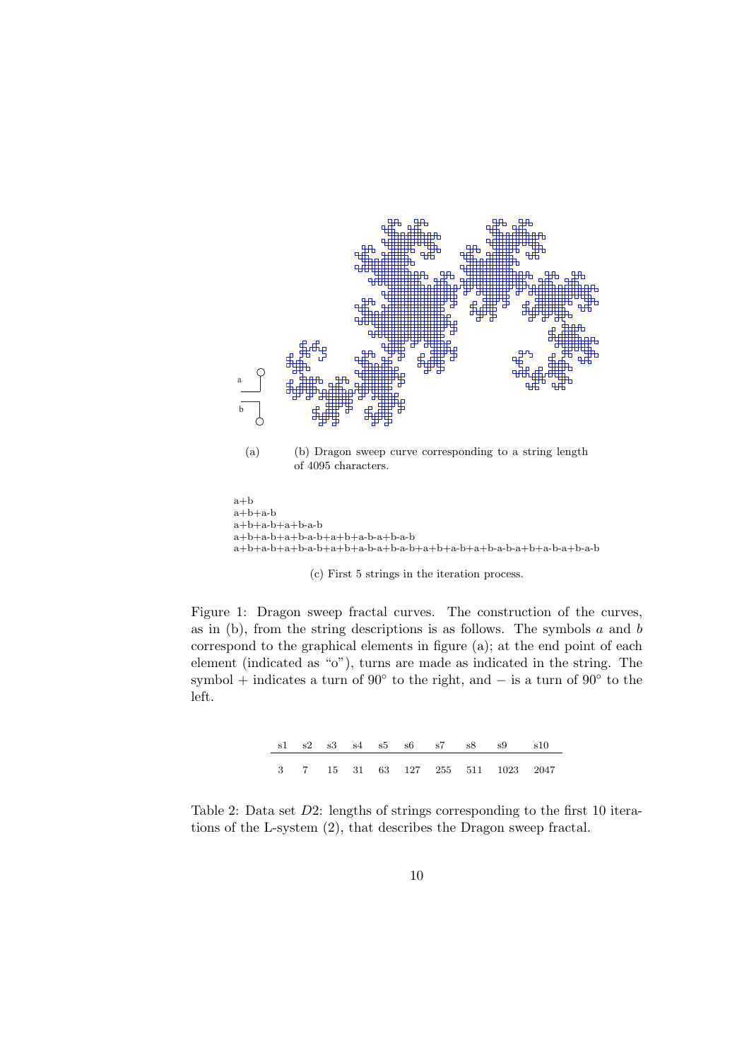

(c) First 5 strings in the iteration process.

Figure 1: Dragon sweep fractal curves. The construction of the curves, as in  $(b)$ , from the string descriptions is as follows. The symbols  $a$  and  $b$ correspond to the graphical elements in figure (a); at the end point of each element (indicated as "o"), turns are made as indicated in the string. The symbol + indicates a turn of  $90°$  to the right, and – is a turn of  $90°$  to the left.

|  |  |  |  | s1 s2 s3 s4 s5 s6 s7 s8 s9 s10     |  |
|--|--|--|--|------------------------------------|--|
|  |  |  |  | 3 7 15 31 63 127 255 511 1023 2047 |  |

Table 2: Data set D2: lengths of strings corresponding to the first 10 iterations of the L-system (2), that describes the Dragon sweep fractal.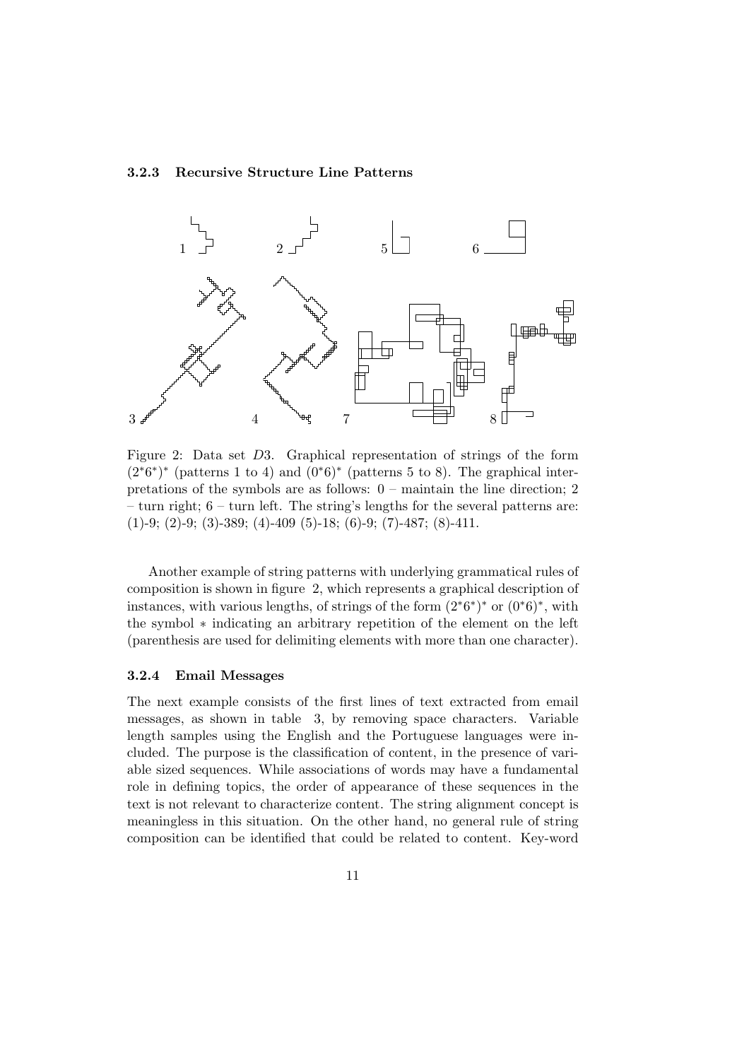#### **3.2.3 Recursive Structure Line Patterns**



Figure 2: Data set D3. Graphical representation of strings of the form  $(2<sup>*</sup>6<sup>*</sup>)<sup>*</sup>$  (patterns 1 to 4) and  $(0<sup>*</sup>6)<sup>*</sup>$  (patterns 5 to 8). The graphical interpretations of the symbols are as follows: 0 – maintain the line direction; 2 – turn right; 6 – turn left. The string's lengths for the several patterns are: (1)-9; (2)-9; (3)-389; (4)-409 (5)-18; (6)-9; (7)-487; (8)-411.

Another example of string patterns with underlying grammatical rules of composition is shown in figure 2, which represents a graphical description of instances, with various lengths, of strings of the form  $(2^*6^*)^*$  or  $(0^*6)^*$ , with the symbol ∗ indicating an arbitrary repetition of the element on the left (parenthesis are used for delimiting elements with more than one character).

#### **3.2.4 Email Messages**

The next example consists of the first lines of text extracted from email messages, as shown in table 3, by removing space characters. Variable length samples using the English and the Portuguese languages were included. The purpose is the classification of content, in the presence of variable sized sequences. While associations of words may have a fundamental role in defining topics, the order of appearance of these sequences in the text is not relevant to characterize content. The string alignment concept is meaningless in this situation. On the other hand, no general rule of string composition can be identified that could be related to content. Key-word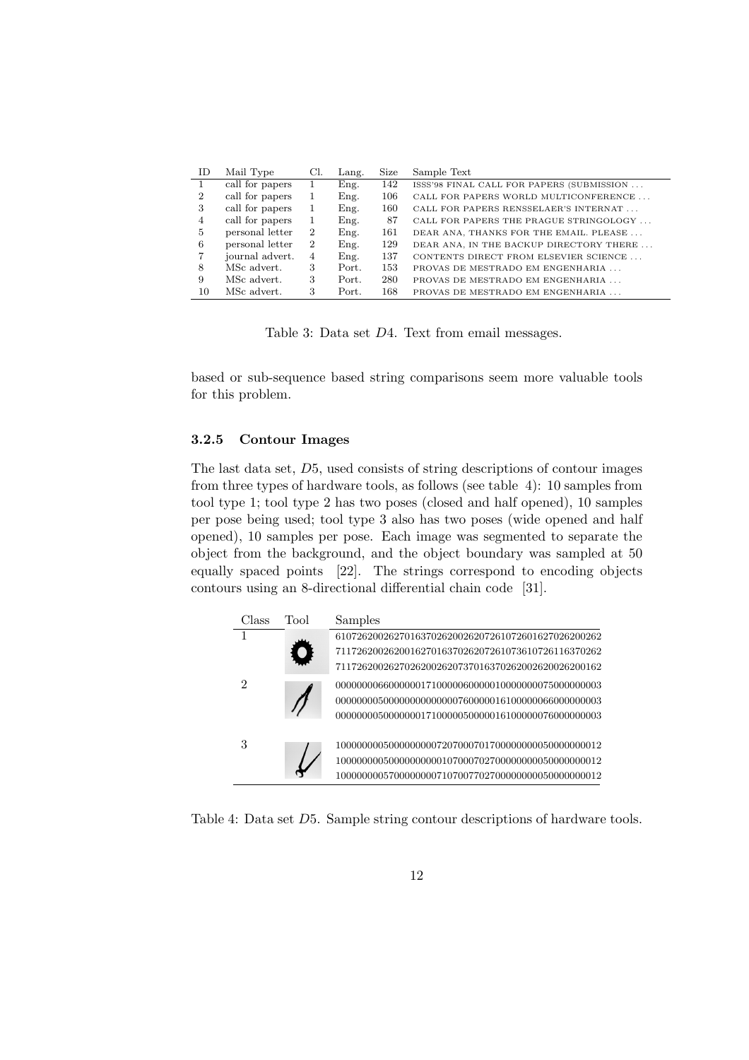| ΙD | Mail Type       | Cl.            | Lang. | Size | Sample Text                               |
|----|-----------------|----------------|-------|------|-------------------------------------------|
|    | call for papers |                | Eng.  | 142  | ISSS'98 FINAL CALL FOR PAPERS (SUBMISSION |
| 2  | call for papers |                | Eng.  | 106  | CALL FOR PAPERS WORLD MULTICONFERENCE     |
| 3  | call for papers |                | Eng.  | 160  | CALL FOR PAPERS RENSSELAER'S INTERNAT     |
| 4  | call for papers |                | Eng.  | 87   | CALL FOR PAPERS THE PRAGUE STRINGOLOGY    |
| 5  | personal letter | 2              | Eng.  | 161  | DEAR ANA, THANKS FOR THE EMAIL. PLEASE    |
| 6  | personal letter | $\overline{2}$ | Eng.  | 129  | DEAR ANA, IN THE BACKUP DIRECTORY THERE   |
|    | journal advert. | 4              | Eng.  | 137  | CONTENTS DIRECT FROM ELSEVIER SCIENCE     |
| 8  | MSc advert.     | 3              | Port. | 153  | PROVAS DE MESTRADO EM ENGENHARIA          |
| 9  | MSc advert.     | 3              | Port. | 280  | PROVAS DE MESTRADO EM ENGENHARIA          |
| 10 | MSc advert.     | 3              | Port. | 168  | PROVAS DE MESTRADO EM ENGENHARIA          |

Table 3: Data set D4. Text from email messages.

based or sub-sequence based string comparisons seem more valuable tools for this problem.

#### **3.2.5 Contour Images**

The last data set, D5, used consists of string descriptions of contour images from three types of hardware tools, as follows (see table 4): 10 samples from tool type 1; tool type 2 has two poses (closed and half opened), 10 samples per pose being used; tool type 3 also has two poses (wide opened and half opened), 10 samples per pose. Each image was segmented to separate the object from the background, and the object boundary was sampled at 50 equally spaced points [22]. The strings correspond to encoding objects contours using an 8-directional differential chain code [31].



Table 4: Data set D5. Sample string contour descriptions of hardware tools.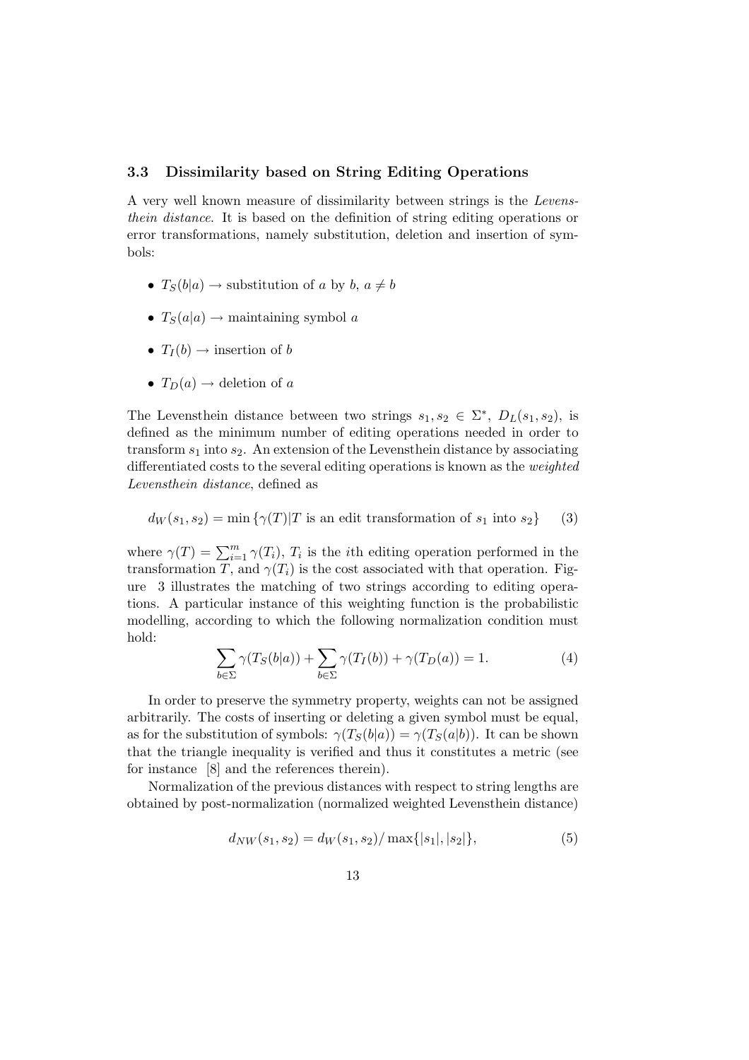#### **3.3 Dissimilarity based on String Editing Operations**

A very well known measure of dissimilarity between strings is the *Levensthein distance*. It is based on the definition of string editing operations or error transformations, namely substitution, deletion and insertion of symbols:

- $T_S(b|a) \rightarrow$  substitution of a by b,  $a \neq b$
- $T_S(a|a) \rightarrow$  maintaining symbol a
- $T_I(b) \rightarrow$  insertion of b
- $T_D(a) \rightarrow$  deletion of a

The Levensthein distance between two strings  $s_1, s_2 \in \Sigma^*, D_L(s_1, s_2)$ , is defined as the minimum number of editing operations needed in order to transform  $s_1$  into  $s_2$ . An extension of the Levensthein distance by associating differentiated costs to the several editing operations is known as the *weighted Levensthein distance*, defined as

 $d_W(s_1, s_2) = \min \{ \gamma(T) | T \text{ is an edit transformation of } s_1 \text{ into } s_2 \}$  (3)

where  $\gamma(T) = \sum_{i=1}^{m} \gamma(T_i)$ ,  $T_i$  is the *i*<sup>th</sup> editing operation performed in the transformation T, and  $\gamma(T_i)$  is the cost associated with that operation. Figure 3 illustrates the matching of two strings according to editing operations. A particular instance of this weighting function is the probabilistic modelling, according to which the following normalization condition must hold:

$$
\sum_{b \in \Sigma} \gamma(T_S(b|a)) + \sum_{b \in \Sigma} \gamma(T_I(b)) + \gamma(T_D(a)) = 1.
$$
 (4)

In order to preserve the symmetry property, weights can not be assigned arbitrarily. The costs of inserting or deleting a given symbol must be equal, as for the substitution of symbols:  $\gamma(T_S(b|a)) = \gamma(T_S(a|b))$ . It can be shown that the triangle inequality is verified and thus it constitutes a metric (see for instance [8] and the references therein).

Normalization of the previous distances with respect to string lengths are obtained by post-normalization (normalized weighted Levensthein distance)

$$
d_{NW}(s_1, s_2) = d_W(s_1, s_2) / \max\{|s_1|, |s_2|\},\tag{5}
$$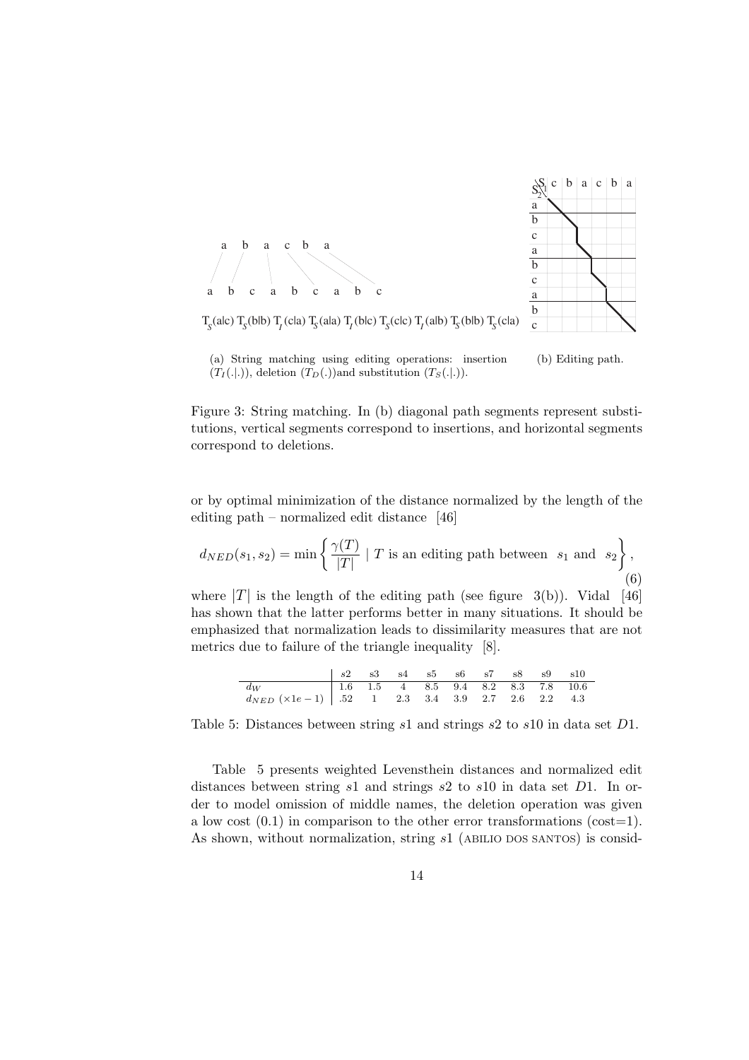



(a) String matching using editing operations: insertion

(b) Editing path.

 $(T_I(.|.))$ , deletion  $(T_D(.))$  and substitution  $(T_S(.|.))$ .

Figure 3: String matching. In (b) diagonal path segments represent substitutions, vertical segments correspond to insertions, and horizontal segments correspond to deletions.

or by optimal minimization of the distance normalized by the length of the editing path – normalized edit distance [46]

$$
d_{NED}(s_1, s_2) = \min\left\{\frac{\gamma(T)}{|T|} \mid T \text{ is an editing path between } s_1 \text{ and } s_2\right\},\tag{6}
$$

where  $|T|$  is the length of the editing path (see figure 3(b)). Vidal [46] has shown that the latter performs better in many situations. It should be emphasized that normalization leads to dissimilarity measures that are not metrics due to failure of the triangle inequality [8].

|                                                                                                                                                                                                              |  |  |  |  | $\begin{array}{cccccc} \n\begin{array}{ccccccccc}\n & s2 & s3 & s4 & s5 & s6 & s7 & s8 & s9 & s10\n\end{array}\n\end{array}$ |
|--------------------------------------------------------------------------------------------------------------------------------------------------------------------------------------------------------------|--|--|--|--|------------------------------------------------------------------------------------------------------------------------------|
| $\begin{array}{c cccccccc} \hline d_W & 1.6 & 1.6 & 1.5 & 4 & 8.5 & 9.4 & 8.2 & 8.3 & 7.8 & 10.6 \\ \hline d_{NED}\ (\times 1e-1) & .52 & 1 & 2.3 & 3.4 & 3.9 & 2.7 & 2.6 & 2.2 & 4.3 \\ \hline \end{array}$ |  |  |  |  |                                                                                                                              |
|                                                                                                                                                                                                              |  |  |  |  |                                                                                                                              |

Table 5: Distances between string s1 and strings s2 to s10 in data set D1.

Table 5 presents weighted Levensthein distances and normalized edit distances between string s1 and strings s2 to s10 in data set  $D1$ . In order to model omission of middle names, the deletion operation was given a low cost  $(0.1)$  in comparison to the other error transformations  $(cost=1)$ . As shown, without normalization, string s1 (ABILIO DOS SANTOS) is consid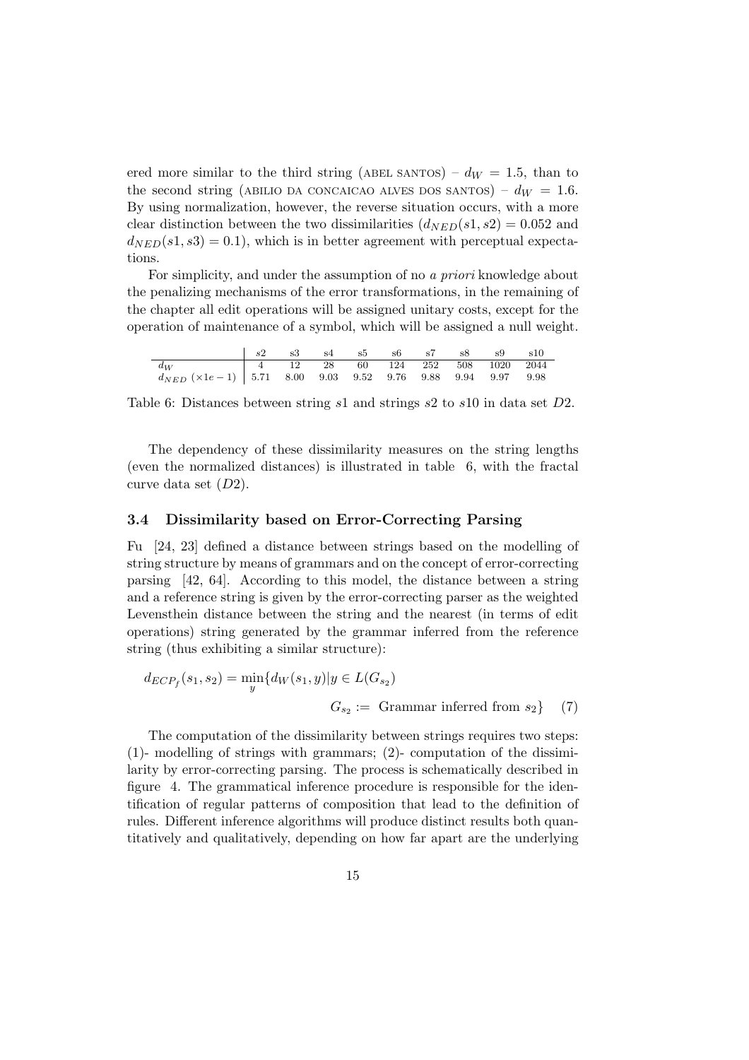ered more similar to the third string (ABEL SANTOS) –  $d_W = 1.5$ , than to the second string (ABILIO DA CONCAICAO ALVES DOS SANTOS) –  $d_W = 1.6$ . By using normalization, however, the reverse situation occurs, with a more clear distinction between the two dissimilarities  $(d_{NED}(s1, s2) = 0.052$  and  $d_{NED}(s1, s3) = 0.1$ , which is in better agreement with perceptual expectations.

For simplicity, and under the assumption of no *a priori* knowledge about the penalizing mechanisms of the error transformations, in the remaining of the chapter all edit operations will be assigned unitary costs, except for the operation of maintenance of a symbol, which will be assigned a null weight.

|                                                                             |  |  |  | $\begin{array}{ccc} \n\begin{array}{ccc} s2 & s3 & s4 & s5 & s6 & s7 & s8 & s9 & s10 \n\end{array} \n\end{array}$ |  |
|-----------------------------------------------------------------------------|--|--|--|-------------------------------------------------------------------------------------------------------------------|--|
| $d_W$<br>4 12 28 60 124 252 508 1020 2044                                   |  |  |  |                                                                                                                   |  |
| $d_{NED}$ ( $\times$ 1e - 1)   5.71 8.00 9.03 9.52 9.76 9.88 9.94 9.97 9.98 |  |  |  |                                                                                                                   |  |

Table 6: Distances between string s1 and strings s2 to s10 in data set D2.

The dependency of these dissimilarity measures on the string lengths (even the normalized distances) is illustrated in table 6, with the fractal curve data set  $(D2)$ .

#### **3.4 Dissimilarity based on Error-Correcting Parsing**

Fu [24, 23] defined a distance between strings based on the modelling of string structure by means of grammars and on the concept of error-correcting parsing [42, 64]. According to this model, the distance between a string and a reference string is given by the error-correcting parser as the weighted Levensthein distance between the string and the nearest (in terms of edit operations) string generated by the grammar inferred from the reference string (thus exhibiting a similar structure):

$$
d_{ECP_f}(s_1, s_2) = \min_{y} \{d_W(s_1, y)|y \in L(G_{s_2})
$$

$$
G_{s_2} := \text{Grammar inferred from } s_2\} \tag{7}
$$

The computation of the dissimilarity between strings requires two steps: (1)- modelling of strings with grammars; (2)- computation of the dissimilarity by error-correcting parsing. The process is schematically described in figure 4. The grammatical inference procedure is responsible for the identification of regular patterns of composition that lead to the definition of rules. Different inference algorithms will produce distinct results both quantitatively and qualitatively, depending on how far apart are the underlying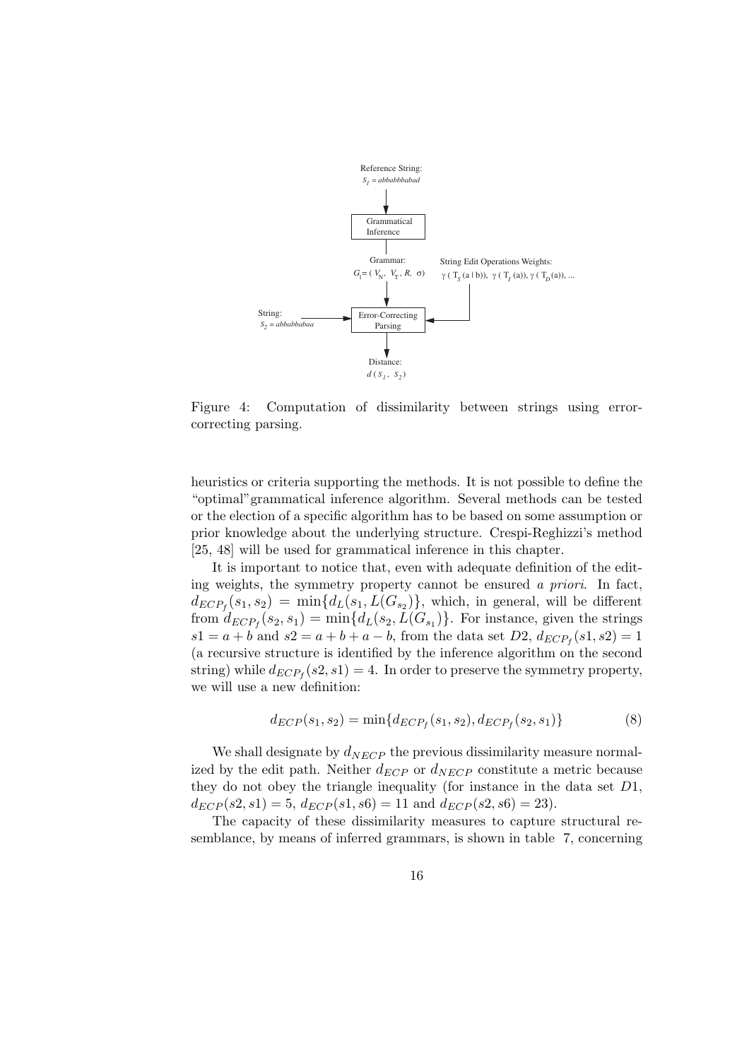

Figure 4: Computation of dissimilarity between strings using errorcorrecting parsing.

heuristics or criteria supporting the methods. It is not possible to define the "optimal"grammatical inference algorithm. Several methods can be tested or the election of a specific algorithm has to be based on some assumption or prior knowledge about the underlying structure. Crespi-Reghizzi's method [25, 48] will be used for grammatical inference in this chapter.

It is important to notice that, even with adequate definition of the editing weights, the symmetry property cannot be ensured *a priori*. In fact,  $d_{ECP_f}(s_1, s_2) = \min\{d_L(s_1, L(G_{s_2})\},\$  which, in general, will be different from  $d_{ECP_f}(s_2, s_1) = \min\{d_L(s_2, L(G_{s_1})\}$ . For instance, given the strings  $s1 = a + b$  and  $s2 = a + b + a - b$ , from the data set  $D2$ ,  $d_{ECP_f}(s1, s2) = 1$ (a recursive structure is identified by the inference algorithm on the second string) while  $d_{ECP_f}(s2, s1) = 4$ . In order to preserve the symmetry property, we will use a new definition:

$$
d_{ECP}(s_1, s_2) = \min\{d_{ECP_f}(s_1, s_2), d_{ECP_f}(s_2, s_1)\}\tag{8}
$$

We shall designate by  $d_{NECP}$  the previous dissimilarity measure normalized by the edit path. Neither  $d_{ECP}$  or  $d_{NECP}$  constitute a metric because they do not obey the triangle inequality (for instance in the data set D1,  $d_{ECP}(s2, s1) = 5, d_{ECP}(s1, s6) = 11$  and  $d_{ECP}(s2, s6) = 23$ .

The capacity of these dissimilarity measures to capture structural resemblance, by means of inferred grammars, is shown in table 7, concerning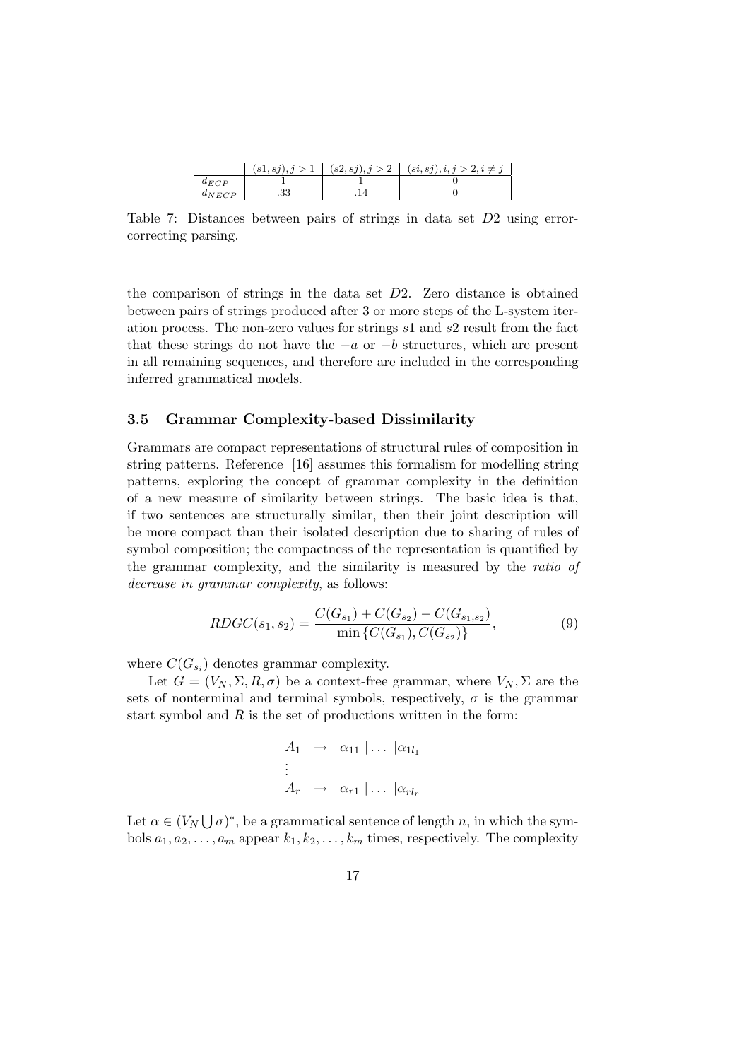|            |     | $(s1,sj), j > 1$ $(s2,sj), j > 2$ $(si,sj), i, j > 2, i \neq j$ |
|------------|-----|-----------------------------------------------------------------|
| $d_{ECP}$  |     |                                                                 |
| $d_{NECP}$ | .33 |                                                                 |

Table 7: Distances between pairs of strings in data set D2 using errorcorrecting parsing.

the comparison of strings in the data set D2. Zero distance is obtained between pairs of strings produced after 3 or more steps of the L-system iteration process. The non-zero values for strings s1 and s2 result from the fact that these strings do not have the  $-a$  or  $-b$  structures, which are present in all remaining sequences, and therefore are included in the corresponding inferred grammatical models.

#### **3.5 Grammar Complexity-based Dissimilarity**

Grammars are compact representations of structural rules of composition in string patterns. Reference [16] assumes this formalism for modelling string patterns, exploring the concept of grammar complexity in the definition of a new measure of similarity between strings. The basic idea is that, if two sentences are structurally similar, then their joint description will be more compact than their isolated description due to sharing of rules of symbol composition; the compactness of the representation is quantified by the grammar complexity, and the similarity is measured by the *ratio of decrease in grammar complexity*, as follows:

$$
RDCC(s_1, s_2) = \frac{C(G_{s_1}) + C(G_{s_2}) - C(G_{s_1, s_2})}{\min\{C(G_{s_1}), C(G_{s_2})\}},
$$
\n(9)

where  $C(G_{s_i})$  denotes grammar complexity.

Let  $G = (V_N, \Sigma, R, \sigma)$  be a context-free grammar, where  $V_N$ ,  $\Sigma$  are the sets of nonterminal and terminal symbols, respectively,  $\sigma$  is the grammar start symbol and  $R$  is the set of productions written in the form:

$$
A_1 \rightarrow \alpha_{11} | \dots | \alpha_{1l_1}
$$
  
\n:  
\n
$$
A_r \rightarrow \alpha_{r1} | \dots | \alpha_{rl_r}
$$

Let  $\alpha \in (V_N \bigcup \sigma)^*$ , be a grammatical sentence of length n, in which the symbols  $a_1, a_2, \ldots, a_m$  appear  $k_1, k_2, \ldots, k_m$  times, respectively. The complexity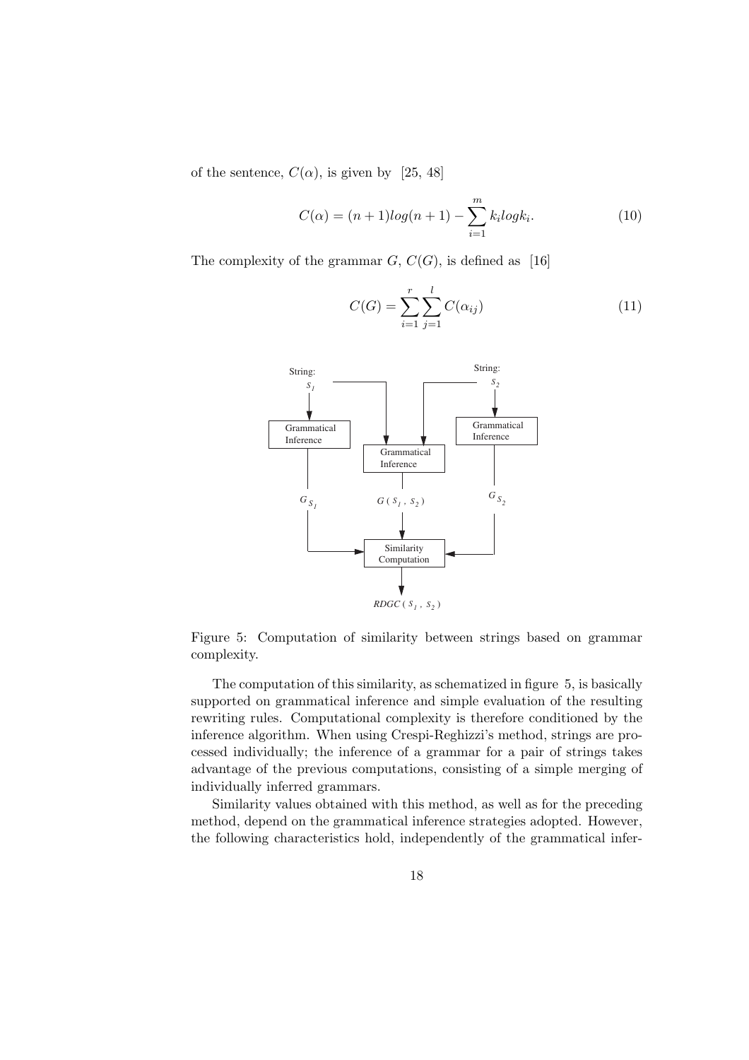of the sentence,  $C(\alpha)$ , is given by [25, 48]

$$
C(\alpha) = (n+1)log(n+1) - \sum_{i=1}^{m} k_i log k_i.
$$
 (10)

The complexity of the grammar  $G, C(G)$ , is defined as [16]

$$
C(G) = \sum_{i=1}^{r} \sum_{j=1}^{l} C(\alpha_{ij})
$$
\n(11)



Figure 5: Computation of similarity between strings based on grammar complexity.

The computation of this similarity, as schematized in figure 5, is basically supported on grammatical inference and simple evaluation of the resulting rewriting rules. Computational complexity is therefore conditioned by the inference algorithm. When using Crespi-Reghizzi's method, strings are processed individually; the inference of a grammar for a pair of strings takes advantage of the previous computations, consisting of a simple merging of individually inferred grammars.

Similarity values obtained with this method, as well as for the preceding method, depend on the grammatical inference strategies adopted. However, the following characteristics hold, independently of the grammatical infer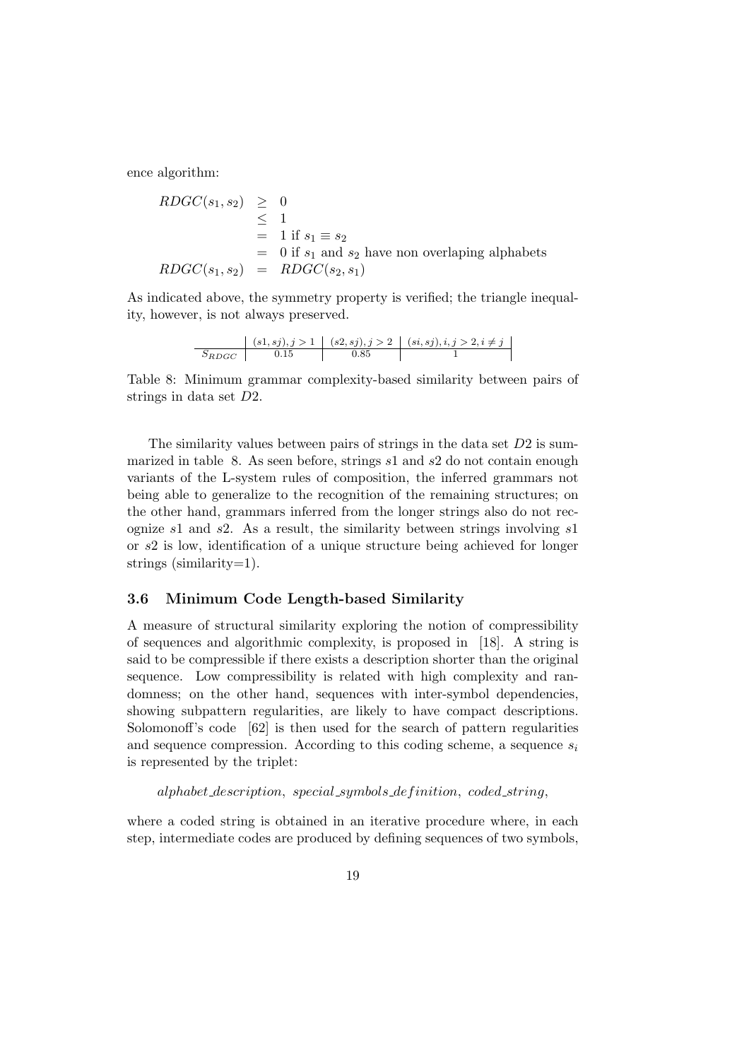ence algorithm:

$$
RDCC(s_1, s_2) \geq 0
$$
  
\n
$$
\leq 1
$$
  
\n
$$
= 1 \text{ if } s_1 \equiv s_2
$$
  
\n
$$
= 0 \text{ if } s_1 \text{ and } s_2 \text{ have non overlapping alphabets}
$$
  
\n
$$
RDCC(s_1, s_2) = RDCC(s_2, s_1)
$$

As indicated above, the symmetry property is verified; the triangle inequality, however, is not always preserved.

$$
\begin{array}{c|c|c|c|c|c} & (s1, sj), j > 1 & (s2, sj), j > 2 & (si, sj), i, j > 2, i \neq j\\ \hline & & & & 0.15 & & & 0.85 & & 1\\ \hline \end{array}
$$

Table 8: Minimum grammar complexity-based similarity between pairs of strings in data set D2.

The similarity values between pairs of strings in the data set  $D2$  is summarized in table 8. As seen before, strings s1 and s2 do not contain enough variants of the L-system rules of composition, the inferred grammars not being able to generalize to the recognition of the remaining structures; on the other hand, grammars inferred from the longer strings also do not recognize s1 and s2. As a result, the similarity between strings involving s1 or s2 is low, identification of a unique structure being achieved for longer strings (similarity=1).

#### **3.6 Minimum Code Length-based Similarity**

A measure of structural similarity exploring the notion of compressibility of sequences and algorithmic complexity, is proposed in [18]. A string is said to be compressible if there exists a description shorter than the original sequence. Low compressibility is related with high complexity and randomness; on the other hand, sequences with inter-symbol dependencies, showing subpattern regularities, are likely to have compact descriptions. Solomonoff's code [62] is then used for the search of pattern regularities and sequence compression. According to this coding scheme, a sequence s*<sup>i</sup>* is represented by the triplet:

alphabet description, special symbols def inition, coded string,

where a coded string is obtained in an iterative procedure where, in each step, intermediate codes are produced by defining sequences of two symbols,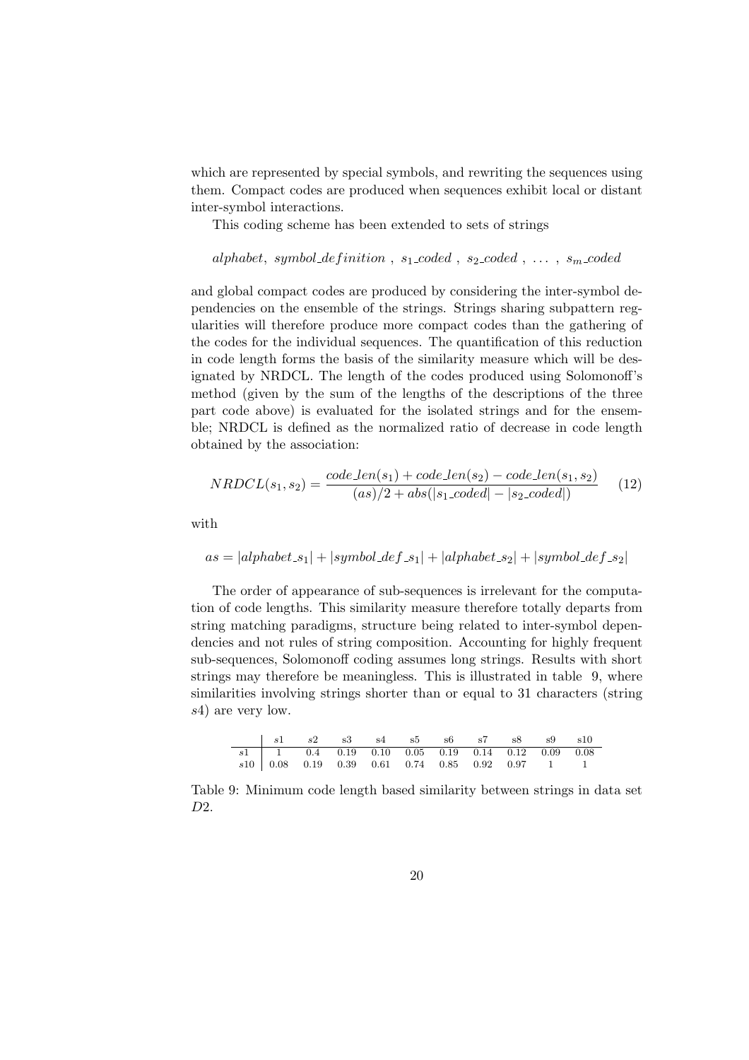which are represented by special symbols, and rewriting the sequences using them. Compact codes are produced when sequences exhibit local or distant inter-symbol interactions.

This coding scheme has been extended to sets of strings

alphabet, symbol definition,  $s_1$  coded,  $s_2$  coded, ...,  $s_m$  coded

and global compact codes are produced by considering the inter-symbol dependencies on the ensemble of the strings. Strings sharing subpattern regularities will therefore produce more compact codes than the gathering of the codes for the individual sequences. The quantification of this reduction in code length forms the basis of the similarity measure which will be designated by NRDCL. The length of the codes produced using Solomonoff's method (given by the sum of the lengths of the descriptions of the three part code above) is evaluated for the isolated strings and for the ensemble; NRDCL is defined as the normalized ratio of decrease in code length obtained by the association:

$$
NRDCL(s_1, s_2) = \frac{code\_len(s_1) + code\_len(s_2) - code\_len(s_1, s_2)}{(as)/2 + abs(|s_1\_code| - |s_2\_code|)} \tag{12}
$$

with

$$
as = |alphabet\_s_1| + |symbol\_def\_s_1| + |alphabet\_s_2| + |symbol\_def\_s_2|
$$

The order of appearance of sub-sequences is irrelevant for the computation of code lengths. This similarity measure therefore totally departs from string matching paradigms, structure being related to inter-symbol dependencies and not rules of string composition. Accounting for highly frequent sub-sequences, Solomonoff coding assumes long strings. Results with short strings may therefore be meaningless. This is illustrated in table 9, where similarities involving strings shorter than or equal to 31 characters (string s4) are very low.



Table 9: Minimum code length based similarity between strings in data set D2.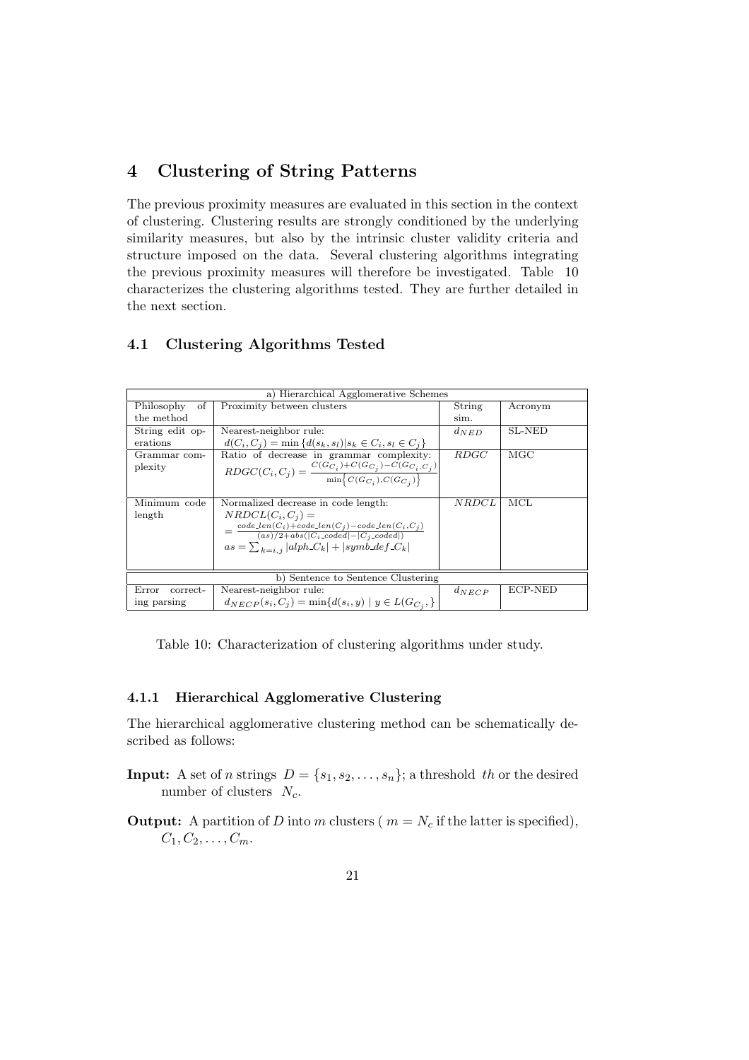# **4 Clustering of String Patterns**

The previous proximity measures are evaluated in this section in the context of clustering. Clustering results are strongly conditioned by the underlying similarity measures, but also by the intrinsic cluster validity criteria and structure imposed on the data. Several clustering algorithms integrating the previous proximity measures will therefore be investigated. Table 10 characterizes the clustering algorithms tested. They are further detailed in the next section.

| a) Hierarchical Agglomerative Schemes |                                                                                                                          |              |                   |  |  |  |  |  |
|---------------------------------------|--------------------------------------------------------------------------------------------------------------------------|--------------|-------------------|--|--|--|--|--|
| οf<br>Philosophy                      | Proximity between clusters                                                                                               | String       | Acronym           |  |  |  |  |  |
| the method                            |                                                                                                                          | sim.         |                   |  |  |  |  |  |
| String edit op-                       | Nearest-neighbor rule:                                                                                                   | $d_{NED}$    | SL-NED            |  |  |  |  |  |
| erations                              | $d(C_i, C_j) = \min \{d(s_k, s_l) s_k \in C_i, s_l \in C_j\}$                                                            |              |                   |  |  |  |  |  |
| Grammar com-                          | Ratio of decrease in grammar complexity:                                                                                 | <i>RDGC</i>  | $_{\mathrm{MGC}}$ |  |  |  |  |  |
| plexity                               | $\label{eq:RDC} RDC(C_i, C_j) = \frac{C(\bar{G_{C_i}}) + C(G_{C_j}) - C(G_{C_i, C_j})}{\min \{C(G_{C_i}), C(G_{C_j})\}}$ |              |                   |  |  |  |  |  |
|                                       |                                                                                                                          |              |                   |  |  |  |  |  |
|                                       |                                                                                                                          |              |                   |  |  |  |  |  |
| Minimum code                          | Normalized decrease in code length.                                                                                      | <i>NRDCL</i> | MCL               |  |  |  |  |  |
| length                                | $NRDCL(C_i, C_i) =$                                                                                                      |              |                   |  |  |  |  |  |
|                                       | $=\frac{code\_len(C_i)+code\_len(C_j)-code\_len(C_i,C_j)}{(as)/2+abs( C_i\_code - C_i\_code )}$                          |              |                   |  |  |  |  |  |
|                                       |                                                                                                                          |              |                   |  |  |  |  |  |
|                                       | $as = \sum_{k=i,j}  alpha C_k  +  symb\_def_C_k $                                                                        |              |                   |  |  |  |  |  |
|                                       |                                                                                                                          |              |                   |  |  |  |  |  |
| b) Sentence to Sentence Clustering    |                                                                                                                          |              |                   |  |  |  |  |  |
| Error<br>correct-                     | Nearest-neighbor rule:                                                                                                   | $d_{NECP}$   | ECP-NED           |  |  |  |  |  |
| ing parsing                           | $d_{NECP}(s_i, C_i) = \min\{d(s_i, y) \mid y \in L(G_{C_i},\})$                                                          |              |                   |  |  |  |  |  |

### **4.1 Clustering Algorithms Tested**

Table 10: Characterization of clustering algorithms under study.

### **4.1.1 Hierarchical Agglomerative Clustering**

The hierarchical agglomerative clustering method can be schematically described as follows:

- **Input:** A set of n strings  $D = \{s_1, s_2, \ldots, s_n\}$ ; a threshold th or the desired number of clusters N*c*.
- **Output:** A partition of D into m clusters ( $m = N_c$  if the latter is specified),  $C_1, C_2, \ldots, C_m$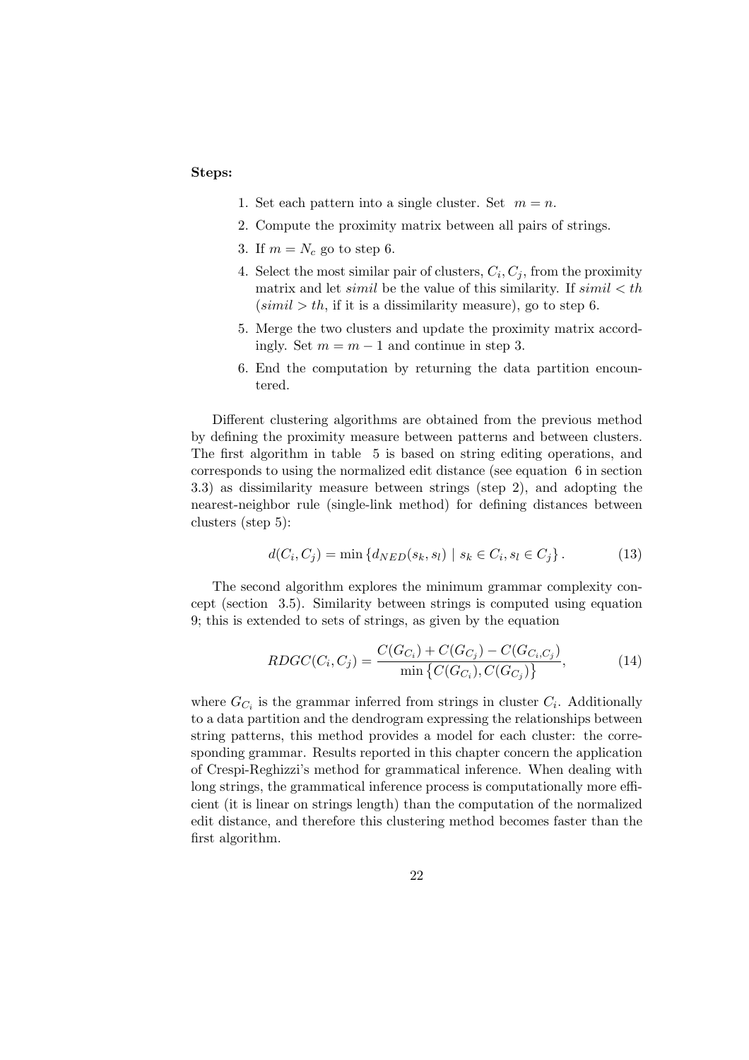### **Steps:**

- 1. Set each pattern into a single cluster. Set  $m = n$ .
- 2. Compute the proximity matrix between all pairs of strings.
- 3. If  $m = N_c$  go to step 6.
- 4. Select the most similar pair of clusters,  $C_i, C_j$ , from the proximity matrix and let *simil* be the value of this similarity. If  $\text{simil} < \text{th}$  $(simil > th,$  if it is a dissimilarity measure), go to step 6.
- 5. Merge the two clusters and update the proximity matrix accordingly. Set  $m = m - 1$  and continue in step 3.
- 6. End the computation by returning the data partition encountered.

Different clustering algorithms are obtained from the previous method by defining the proximity measure between patterns and between clusters. The first algorithm in table 5 is based on string editing operations, and corresponds to using the normalized edit distance (see equation 6 in section 3.3) as dissimilarity measure between strings (step 2), and adopting the nearest-neighbor rule (single-link method) for defining distances between clusters (step 5):

$$
d(C_i, C_j) = \min \{ d_{NED}(s_k, s_l) \mid s_k \in C_i, s_l \in C_j \}.
$$
 (13)

The second algorithm explores the minimum grammar complexity concept (section 3.5). Similarity between strings is computed using equation 9; this is extended to sets of strings, as given by the equation

$$
RDC(C_i, C_j) = \frac{C(G_{C_i}) + C(G_{C_j}) - C(G_{C_i, C_j})}{\min\{C(G_{C_i}), C(G_{C_j})\}},
$$
\n(14)

where  $G_{C_i}$  is the grammar inferred from strings in cluster  $C_i$ . Additionally to a data partition and the dendrogram expressing the relationships between string patterns, this method provides a model for each cluster: the corresponding grammar. Results reported in this chapter concern the application of Crespi-Reghizzi's method for grammatical inference. When dealing with long strings, the grammatical inference process is computationally more efficient (it is linear on strings length) than the computation of the normalized edit distance, and therefore this clustering method becomes faster than the first algorithm.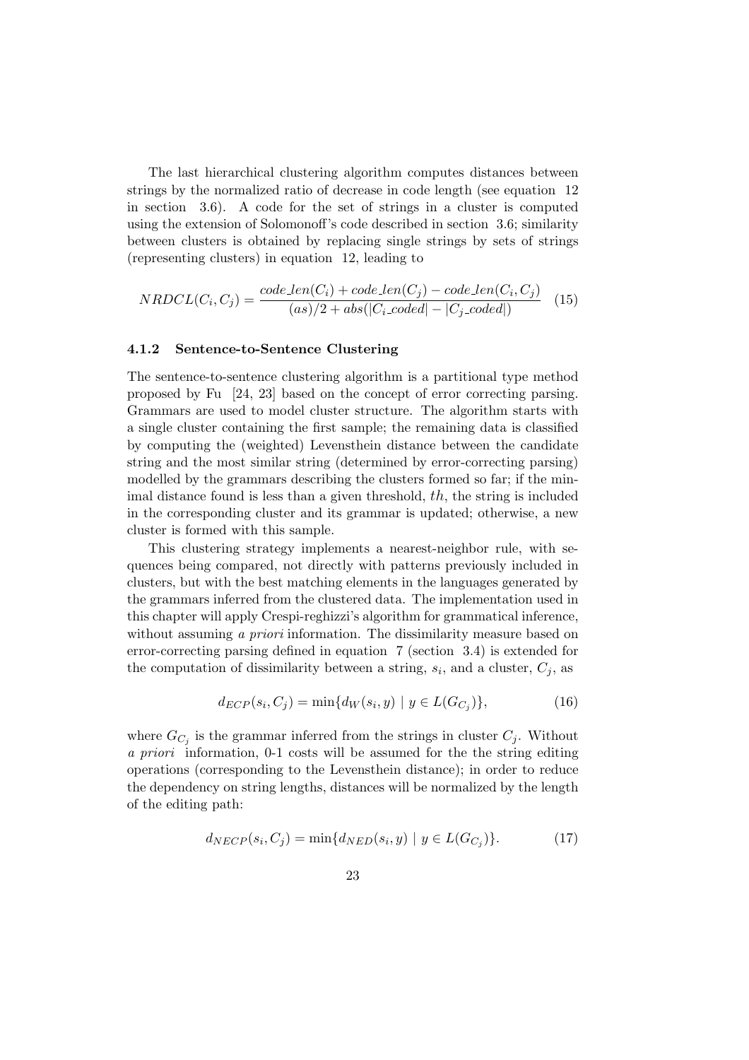The last hierarchical clustering algorithm computes distances between strings by the normalized ratio of decrease in code length (see equation 12 in section 3.6). A code for the set of strings in a cluster is computed using the extension of Solomonoff's code described in section 3.6; similarity between clusters is obtained by replacing single strings by sets of strings (representing clusters) in equation 12, leading to

$$
NRDCL(C_i, C_j) = \frac{code\_len(C_i) + code\_len(C_j) - code\_len(C_i, C_j)}{(as)/2 + abs(|C_i\_code| - |C_j\_code|)} \quad (15)
$$

#### **4.1.2 Sentence-to-Sentence Clustering**

The sentence-to-sentence clustering algorithm is a partitional type method proposed by Fu [24, 23] based on the concept of error correcting parsing. Grammars are used to model cluster structure. The algorithm starts with a single cluster containing the first sample; the remaining data is classified by computing the (weighted) Levensthein distance between the candidate string and the most similar string (determined by error-correcting parsing) modelled by the grammars describing the clusters formed so far; if the minimal distance found is less than a given threshold, *th*, the string is included in the corresponding cluster and its grammar is updated; otherwise, a new cluster is formed with this sample.

This clustering strategy implements a nearest-neighbor rule, with sequences being compared, not directly with patterns previously included in clusters, but with the best matching elements in the languages generated by the grammars inferred from the clustered data. The implementation used in this chapter will apply Crespi-reghizzi's algorithm for grammatical inference, without assuming *a priori* information. The dissimilarity measure based on error-correcting parsing defined in equation 7 (section 3.4) is extended for the computation of dissimilarity between a string,  $s_i$ , and a cluster,  $C_i$ , as

$$
d_{ECP}(s_i, C_j) = \min\{d_W(s_i, y) \mid y \in L(G_{C_j})\},\tag{16}
$$

where  $G_{C_j}$  is the grammar inferred from the strings in cluster  $C_j$ . Without *a priori* information, 0-1 costs will be assumed for the the string editing operations (corresponding to the Levensthein distance); in order to reduce the dependency on string lengths, distances will be normalized by the length of the editing path:

$$
d_{NECP}(s_i, C_j) = \min\{d_{NED}(s_i, y) \mid y \in L(G_{C_j})\}.
$$
 (17)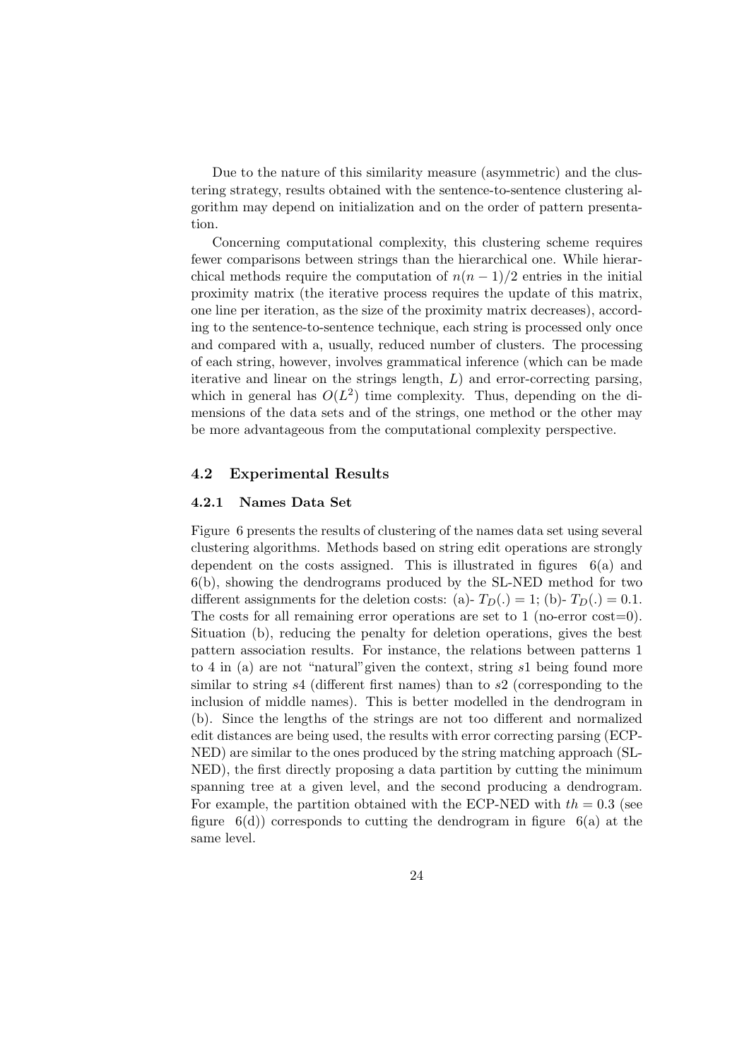Due to the nature of this similarity measure (asymmetric) and the clustering strategy, results obtained with the sentence-to-sentence clustering algorithm may depend on initialization and on the order of pattern presentation.

Concerning computational complexity, this clustering scheme requires fewer comparisons between strings than the hierarchical one. While hierarchical methods require the computation of  $n(n-1)/2$  entries in the initial proximity matrix (the iterative process requires the update of this matrix, one line per iteration, as the size of the proximity matrix decreases), according to the sentence-to-sentence technique, each string is processed only once and compared with a, usually, reduced number of clusters. The processing of each string, however, involves grammatical inference (which can be made iterative and linear on the strings length,  $L$ ) and error-correcting parsing, which in general has  $O(L^2)$  time complexity. Thus, depending on the dimensions of the data sets and of the strings, one method or the other may be more advantageous from the computational complexity perspective.

## **4.2 Experimental Results**

#### **4.2.1 Names Data Set**

Figure 6 presents the results of clustering of the names data set using several clustering algorithms. Methods based on string edit operations are strongly dependent on the costs assigned. This is illustrated in figures 6(a) and 6(b), showing the dendrograms produced by the SL-NED method for two different assignments for the deletion costs: (a)- $T_D(.) = 1$ ; (b)- $T_D(.) = 0.1$ . The costs for all remaining error operations are set to 1 (no-error cost=0). Situation (b), reducing the penalty for deletion operations, gives the best pattern association results. For instance, the relations between patterns 1 to 4 in (a) are not "natural"given the context, string s1 being found more similar to string s4 (different first names) than to s2 (corresponding to the inclusion of middle names). This is better modelled in the dendrogram in (b). Since the lengths of the strings are not too different and normalized edit distances are being used, the results with error correcting parsing (ECP-NED) are similar to the ones produced by the string matching approach (SL-NED), the first directly proposing a data partition by cutting the minimum spanning tree at a given level, and the second producing a dendrogram. For example, the partition obtained with the ECP-NED with  $th = 0.3$  (see figure  $6(d)$  corresponds to cutting the dendrogram in figure  $6(a)$  at the same level.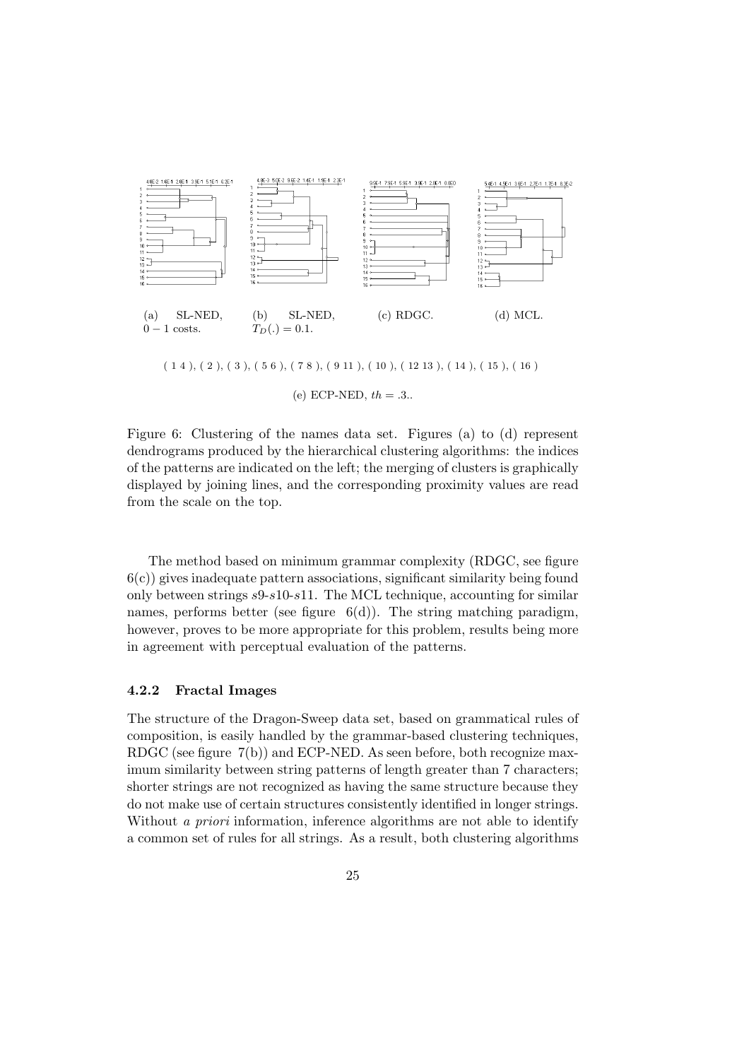

 $(1\ 4), (2), (3), (5\ 6), (7\ 8), (9\ 11), (10), (12\ 13), (14), (15), (16)$ 

 $(e)$  ECP-NED,  $th = .3$ .

Figure 6: Clustering of the names data set. Figures (a) to (d) represent dendrograms produced by the hierarchical clustering algorithms: the indices of the patterns are indicated on the left; the merging of clusters is graphically displayed by joining lines, and the corresponding proximity values are read from the scale on the top.

The method based on minimum grammar complexity (RDGC, see figure  $6(c)$ ) gives inadequate pattern associations, significant similarity being found only between strings s9-s10-s11. The MCL technique, accounting for similar names, performs better (see figure  $6(d)$ ). The string matching paradigm, however, proves to be more appropriate for this problem, results being more in agreement with perceptual evaluation of the patterns.

#### **4.2.2 Fractal Images**

The structure of the Dragon-Sweep data set, based on grammatical rules of composition, is easily handled by the grammar-based clustering techniques, RDGC (see figure 7(b)) and ECP-NED. As seen before, both recognize maximum similarity between string patterns of length greater than 7 characters; shorter strings are not recognized as having the same structure because they do not make use of certain structures consistently identified in longer strings. Without *a priori* information, inference algorithms are not able to identify a common set of rules for all strings. As a result, both clustering algorithms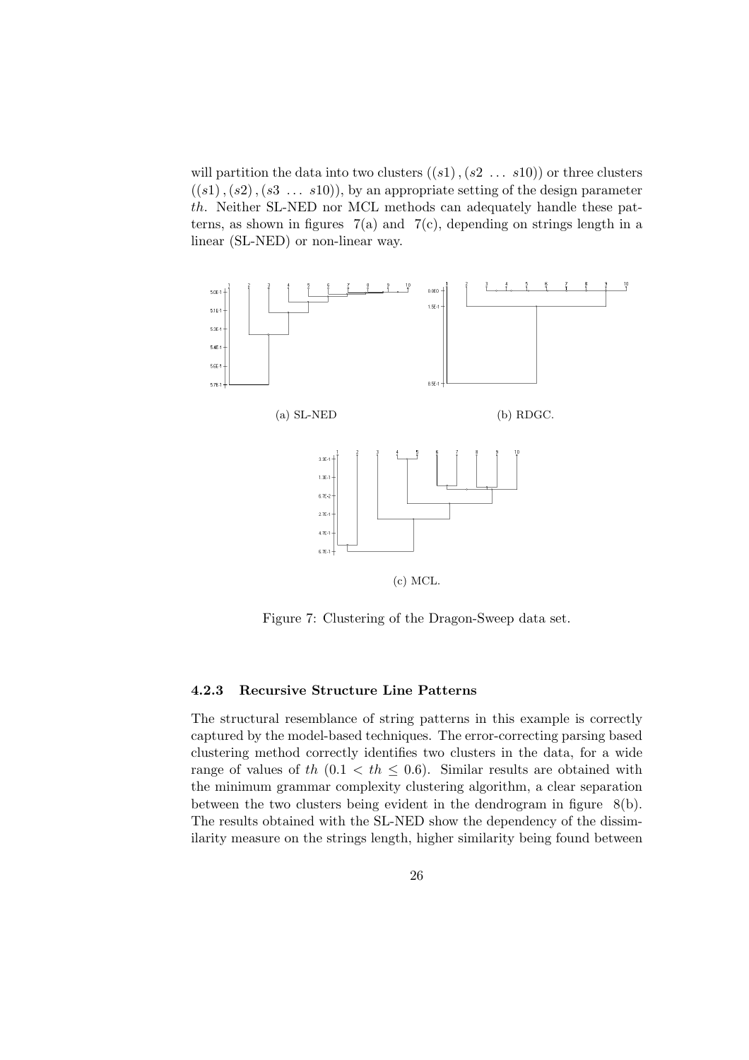will partition the data into two clusters  $((s1), (s2, \ldots, s10))$  or three clusters  $((s1), (s2), (s3 \ldots s10))$ , by an appropriate setting of the design parameter th. Neither SL-NED nor MCL methods can adequately handle these patterns, as shown in figures  $7(a)$  and  $7(c)$ , depending on strings length in a linear (SL-NED) or non-linear way.



Figure 7: Clustering of the Dragon-Sweep data set.

#### **4.2.3 Recursive Structure Line Patterns**

The structural resemblance of string patterns in this example is correctly captured by the model-based techniques. The error-correcting parsing based clustering method correctly identifies two clusters in the data, for a wide range of values of th  $(0.1 \lt th \leq 0.6)$ . Similar results are obtained with the minimum grammar complexity clustering algorithm, a clear separation between the two clusters being evident in the dendrogram in figure 8(b). The results obtained with the SL-NED show the dependency of the dissimilarity measure on the strings length, higher similarity being found between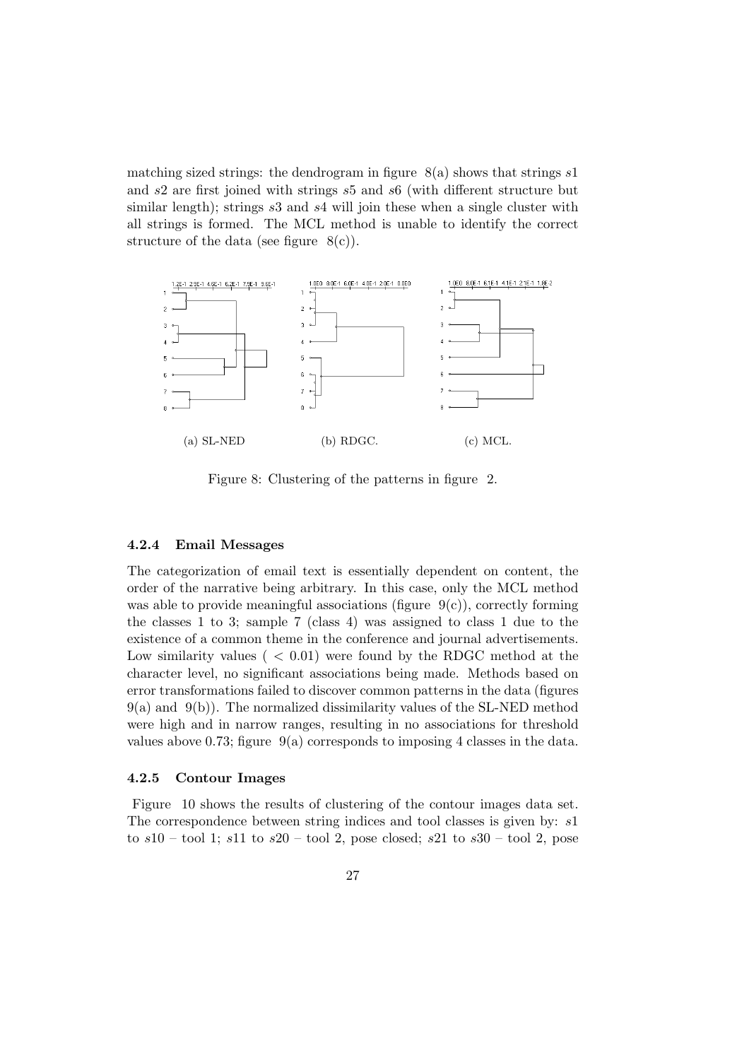matching sized strings: the dendrogram in figure  $8(a)$  shows that strings s1 and s2 are first joined with strings s5 and s6 (with different structure but similar length); strings s3 and s4 will join these when a single cluster with all strings is formed. The MCL method is unable to identify the correct structure of the data (see figure  $8(c)$ ).



Figure 8: Clustering of the patterns in figure 2.

#### **4.2.4 Email Messages**

The categorization of email text is essentially dependent on content, the order of the narrative being arbitrary. In this case, only the MCL method was able to provide meaningful associations (figure  $9(c)$ ), correctly forming the classes 1 to 3; sample 7 (class 4) was assigned to class 1 due to the existence of a common theme in the conference and journal advertisements. Low similarity values  $($  < 0.01) were found by the RDGC method at the character level, no significant associations being made. Methods based on error transformations failed to discover common patterns in the data (figures  $9(a)$  and  $9(b)$ ). The normalized dissimilarity values of the SL-NED method were high and in narrow ranges, resulting in no associations for threshold values above 0.73; figure  $9(a)$  corresponds to imposing 4 classes in the data.

#### **4.2.5 Contour Images**

Figure 10 shows the results of clustering of the contour images data set. The correspondence between string indices and tool classes is given by: s1 to  $s10 - \text{tool 1}; s11 \text{ to } s20 - \text{tool 2}, \text{ pose closed}; s21 \text{ to } s30 - \text{tool 2}, \text{pose}$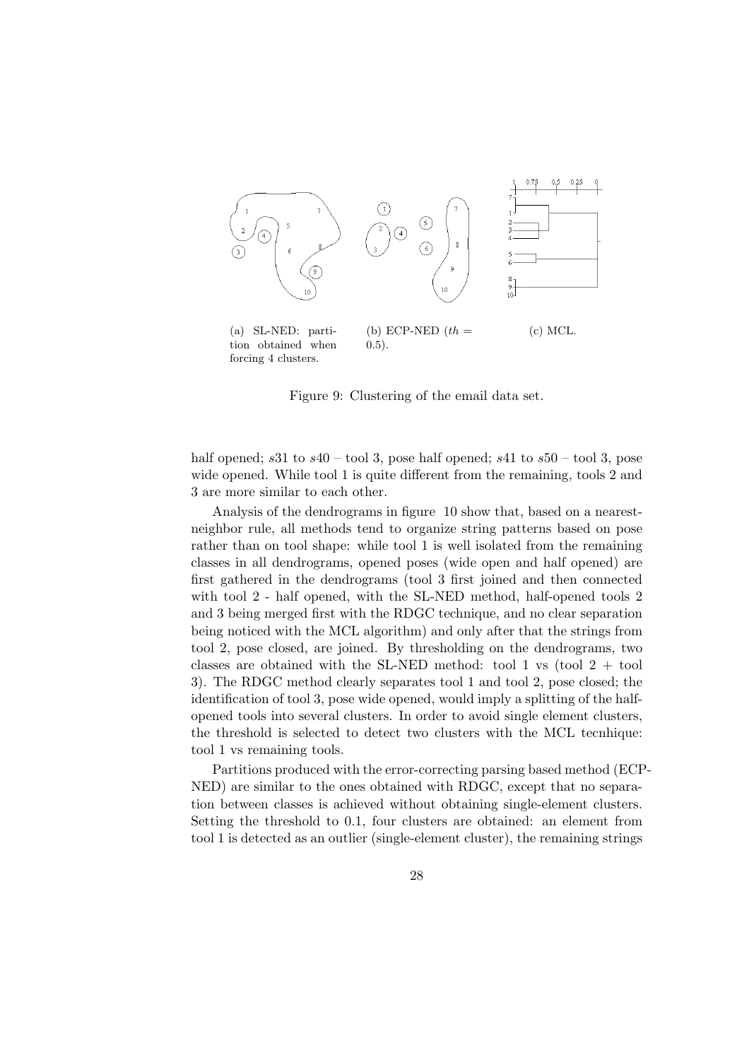

Figure 9: Clustering of the email data set.

half opened; s31 to s40 – tool 3, pose half opened; s41 to s50 – tool 3, pose wide opened. While tool 1 is quite different from the remaining, tools 2 and 3 are more similar to each other.

Analysis of the dendrograms in figure 10 show that, based on a nearestneighbor rule, all methods tend to organize string patterns based on pose rather than on tool shape: while tool 1 is well isolated from the remaining classes in all dendrograms, opened poses (wide open and half opened) are first gathered in the dendrograms (tool 3 first joined and then connected with tool 2 - half opened, with the SL-NED method, half-opened tools 2 and 3 being merged first with the RDGC technique, and no clear separation being noticed with the MCL algorithm) and only after that the strings from tool 2, pose closed, are joined. By thresholding on the dendrograms, two classes are obtained with the SL-NED method: tool 1 vs (tool  $2 +$  tool 3). The RDGC method clearly separates tool 1 and tool 2, pose closed; the identification of tool 3, pose wide opened, would imply a splitting of the halfopened tools into several clusters. In order to avoid single element clusters, the threshold is selected to detect two clusters with the MCL tecnhique: tool 1 vs remaining tools.

Partitions produced with the error-correcting parsing based method (ECP-NED) are similar to the ones obtained with RDGC, except that no separation between classes is achieved without obtaining single-element clusters. Setting the threshold to 0.1, four clusters are obtained: an element from tool 1 is detected as an outlier (single-element cluster), the remaining strings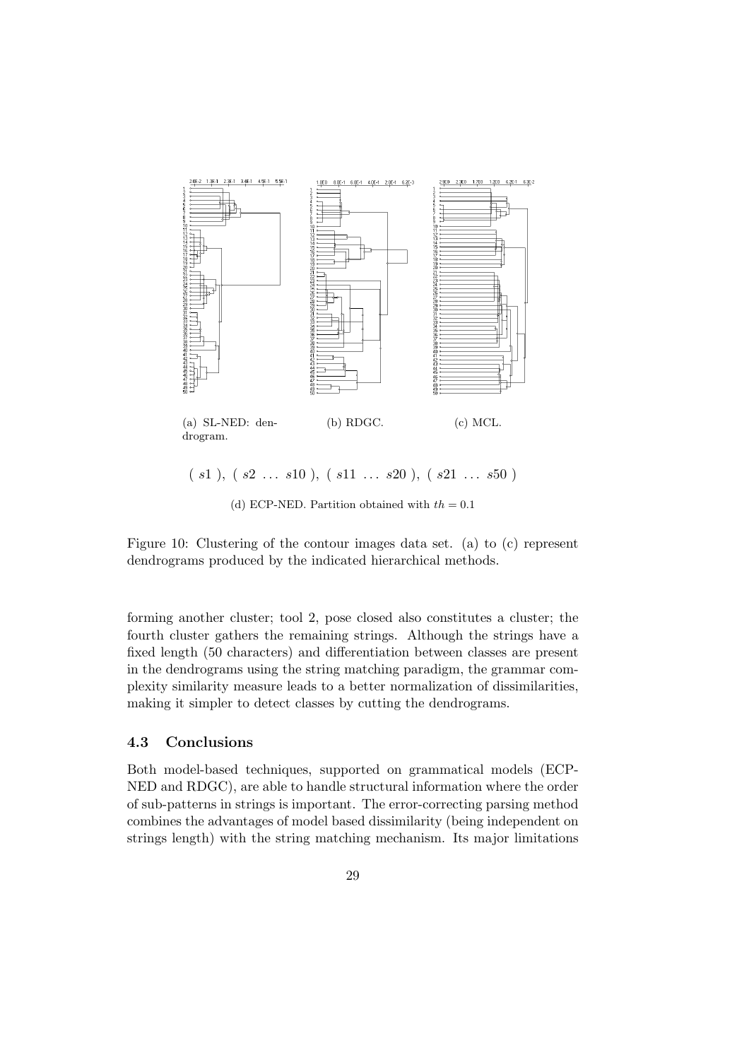

(d) ECP-NED. Partition obtained with  $th = 0.1$ 

Figure 10: Clustering of the contour images data set. (a) to (c) represent dendrograms produced by the indicated hierarchical methods.

forming another cluster; tool 2, pose closed also constitutes a cluster; the fourth cluster gathers the remaining strings. Although the strings have a fixed length (50 characters) and differentiation between classes are present in the dendrograms using the string matching paradigm, the grammar complexity similarity measure leads to a better normalization of dissimilarities, making it simpler to detect classes by cutting the dendrograms.

## **4.3 Conclusions**

Both model-based techniques, supported on grammatical models (ECP-NED and RDGC), are able to handle structural information where the order of sub-patterns in strings is important. The error-correcting parsing method combines the advantages of model based dissimilarity (being independent on strings length) with the string matching mechanism. Its major limitations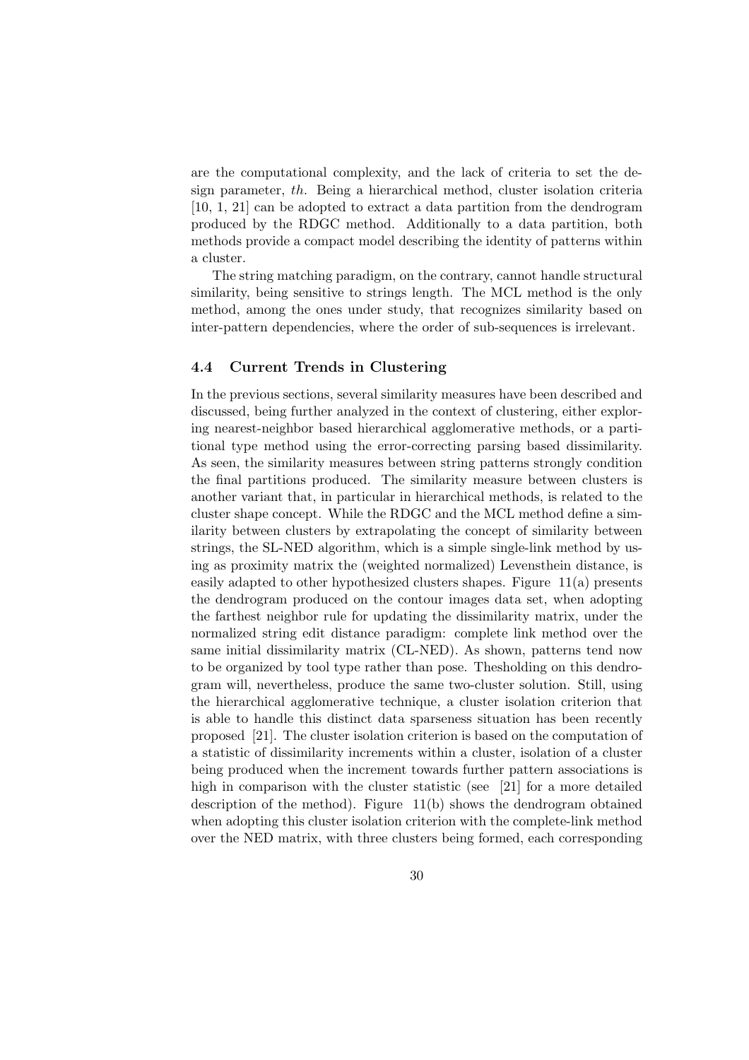are the computational complexity, and the lack of criteria to set the design parameter, th. Being a hierarchical method, cluster isolation criteria [10, 1, 21] can be adopted to extract a data partition from the dendrogram produced by the RDGC method. Additionally to a data partition, both methods provide a compact model describing the identity of patterns within a cluster.

The string matching paradigm, on the contrary, cannot handle structural similarity, being sensitive to strings length. The MCL method is the only method, among the ones under study, that recognizes similarity based on inter-pattern dependencies, where the order of sub-sequences is irrelevant.

### **4.4 Current Trends in Clustering**

In the previous sections, several similarity measures have been described and discussed, being further analyzed in the context of clustering, either exploring nearest-neighbor based hierarchical agglomerative methods, or a partitional type method using the error-correcting parsing based dissimilarity. As seen, the similarity measures between string patterns strongly condition the final partitions produced. The similarity measure between clusters is another variant that, in particular in hierarchical methods, is related to the cluster shape concept. While the RDGC and the MCL method define a similarity between clusters by extrapolating the concept of similarity between strings, the SL-NED algorithm, which is a simple single-link method by using as proximity matrix the (weighted normalized) Levensthein distance, is easily adapted to other hypothesized clusters shapes. Figure  $11(a)$  presents the dendrogram produced on the contour images data set, when adopting the farthest neighbor rule for updating the dissimilarity matrix, under the normalized string edit distance paradigm: complete link method over the same initial dissimilarity matrix (CL-NED). As shown, patterns tend now to be organized by tool type rather than pose. Thesholding on this dendrogram will, nevertheless, produce the same two-cluster solution. Still, using the hierarchical agglomerative technique, a cluster isolation criterion that is able to handle this distinct data sparseness situation has been recently proposed [21]. The cluster isolation criterion is based on the computation of a statistic of dissimilarity increments within a cluster, isolation of a cluster being produced when the increment towards further pattern associations is high in comparison with the cluster statistic (see [21] for a more detailed description of the method). Figure 11(b) shows the dendrogram obtained when adopting this cluster isolation criterion with the complete-link method over the NED matrix, with three clusters being formed, each corresponding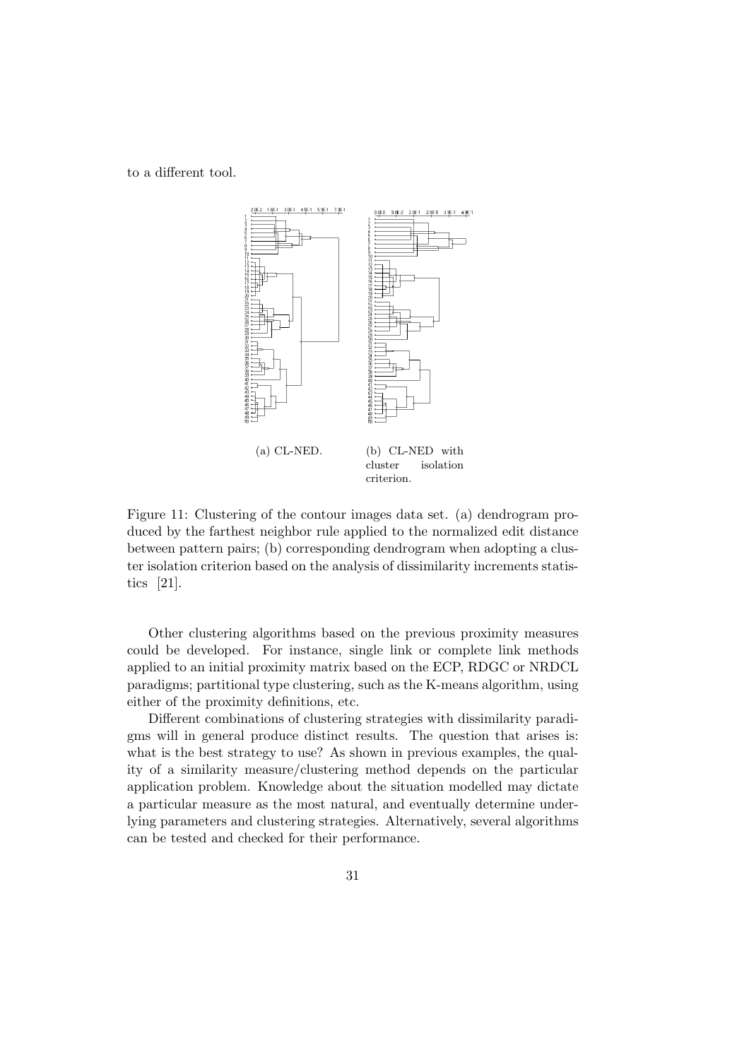to a different tool.



Figure 11: Clustering of the contour images data set. (a) dendrogram produced by the farthest neighbor rule applied to the normalized edit distance between pattern pairs; (b) corresponding dendrogram when adopting a cluster isolation criterion based on the analysis of dissimilarity increments statistics [21].

Other clustering algorithms based on the previous proximity measures could be developed. For instance, single link or complete link methods applied to an initial proximity matrix based on the ECP, RDGC or NRDCL paradigms; partitional type clustering, such as the K-means algorithm, using either of the proximity definitions, etc.

Different combinations of clustering strategies with dissimilarity paradigms will in general produce distinct results. The question that arises is: what is the best strategy to use? As shown in previous examples, the quality of a similarity measure/clustering method depends on the particular application problem. Knowledge about the situation modelled may dictate a particular measure as the most natural, and eventually determine underlying parameters and clustering strategies. Alternatively, several algorithms can be tested and checked for their performance.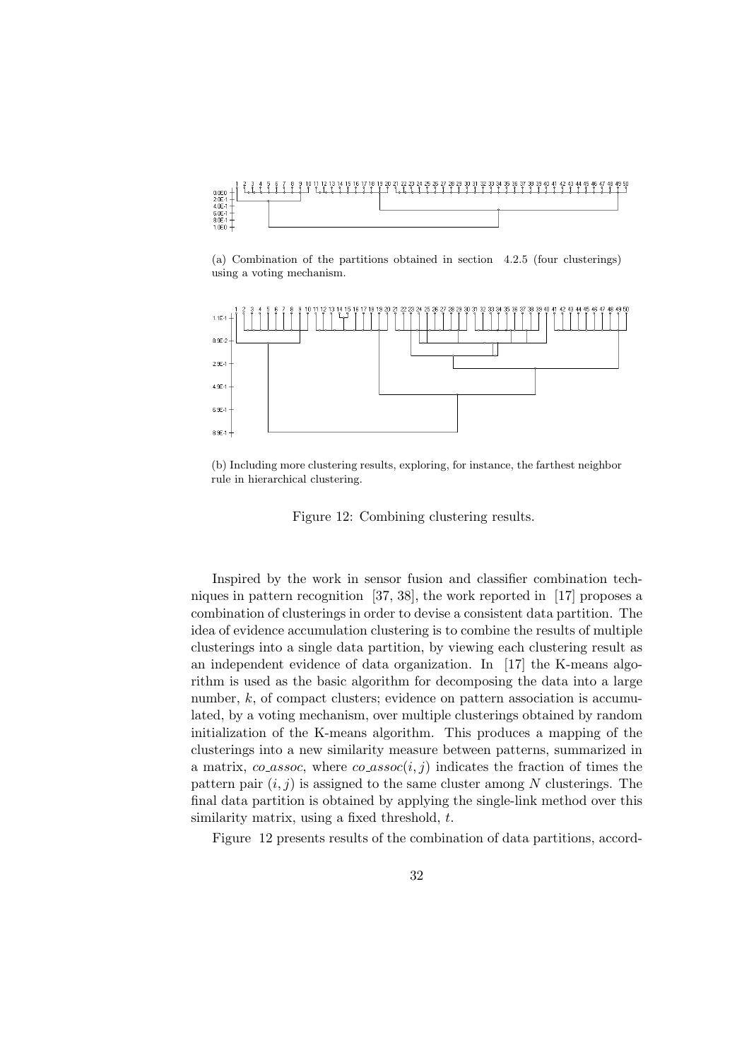

(a) Combination of the partitions obtained in section 4.2.5 (four clusterings) using a voting mechanism.



(b) Including more clustering results, exploring, for instance, the farthest neighbor rule in hierarchical clustering.

Figure 12: Combining clustering results.

Inspired by the work in sensor fusion and classifier combination techniques in pattern recognition [37, 38], the work reported in [17] proposes a combination of clusterings in order to devise a consistent data partition. The idea of evidence accumulation clustering is to combine the results of multiple clusterings into a single data partition, by viewing each clustering result as an independent evidence of data organization. In [17] the K-means algorithm is used as the basic algorithm for decomposing the data into a large number, k, of compact clusters; evidence on pattern association is accumulated, by a voting mechanism, over multiple clusterings obtained by random initialization of the K-means algorithm. This produces a mapping of the clusterings into a new similarity measure between patterns, summarized in a matrix, co assoc, where  $\cos\alpha$  assoc $(i, j)$  indicates the fraction of times the pattern pair  $(i, j)$  is assigned to the same cluster among N clusterings. The final data partition is obtained by applying the single-link method over this similarity matrix, using a fixed threshold, t.

Figure 12 presents results of the combination of data partitions, accord-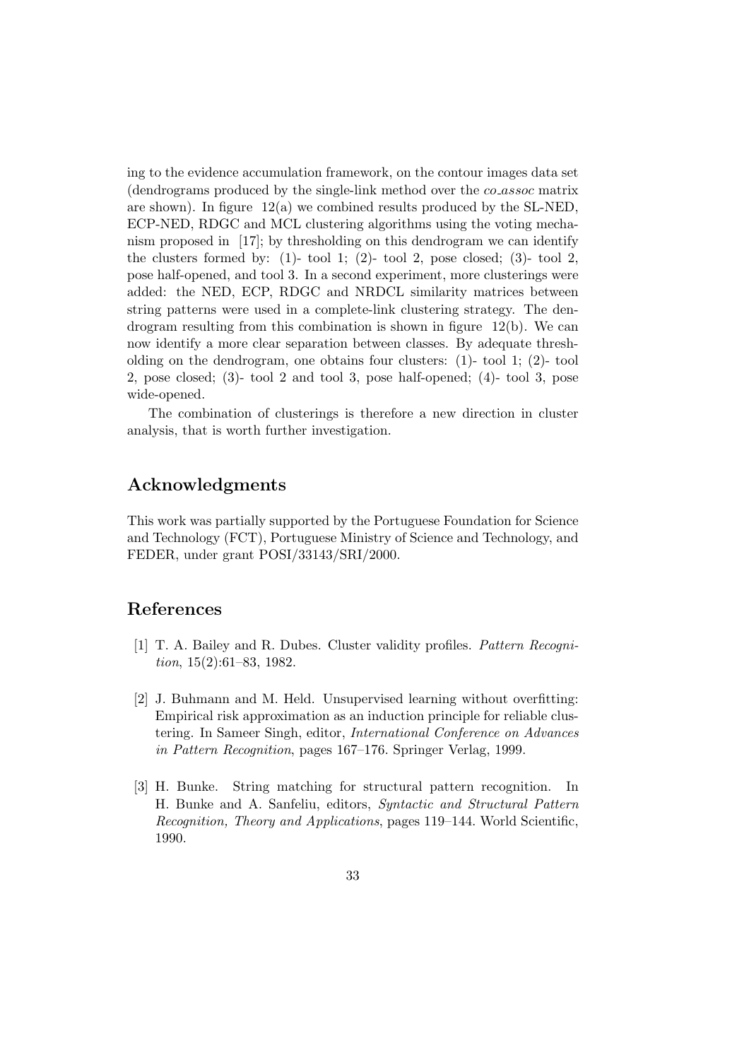ing to the evidence accumulation framework, on the contour images data set (dendrograms produced by the single-link method over the *co-assoc* matrix are shown). In figure  $12(a)$  we combined results produced by the SL-NED, ECP-NED, RDGC and MCL clustering algorithms using the voting mechanism proposed in [17]; by thresholding on this dendrogram we can identify the clusters formed by: (1)- tool 1; (2)- tool 2, pose closed; (3)- tool 2, pose half-opened, and tool 3. In a second experiment, more clusterings were added: the NED, ECP, RDGC and NRDCL similarity matrices between string patterns were used in a complete-link clustering strategy. The dendrogram resulting from this combination is shown in figure 12(b). We can now identify a more clear separation between classes. By adequate thresholding on the dendrogram, one obtains four clusters:  $(1)$ - tool 1;  $(2)$ - tool 2, pose closed; (3)- tool 2 and tool 3, pose half-opened; (4)- tool 3, pose wide-opened.

The combination of clusterings is therefore a new direction in cluster analysis, that is worth further investigation.

# **Acknowledgments**

This work was partially supported by the Portuguese Foundation for Science and Technology (FCT), Portuguese Ministry of Science and Technology, and FEDER, under grant POSI/33143/SRI/2000.

## **References**

- [1] T. A. Bailey and R. Dubes. Cluster validity profiles. *Pattern Recognition*, 15(2):61–83, 1982.
- [2] J. Buhmann and M. Held. Unsupervised learning without overfitting: Empirical risk approximation as an induction principle for reliable clustering. In Sameer Singh, editor, *International Conference on Advances in Pattern Recognition*, pages 167–176. Springer Verlag, 1999.
- [3] H. Bunke. String matching for structural pattern recognition. In H. Bunke and A. Sanfeliu, editors, *Syntactic and Structural Pattern Recognition, Theory and Applications*, pages 119–144. World Scientific, 1990.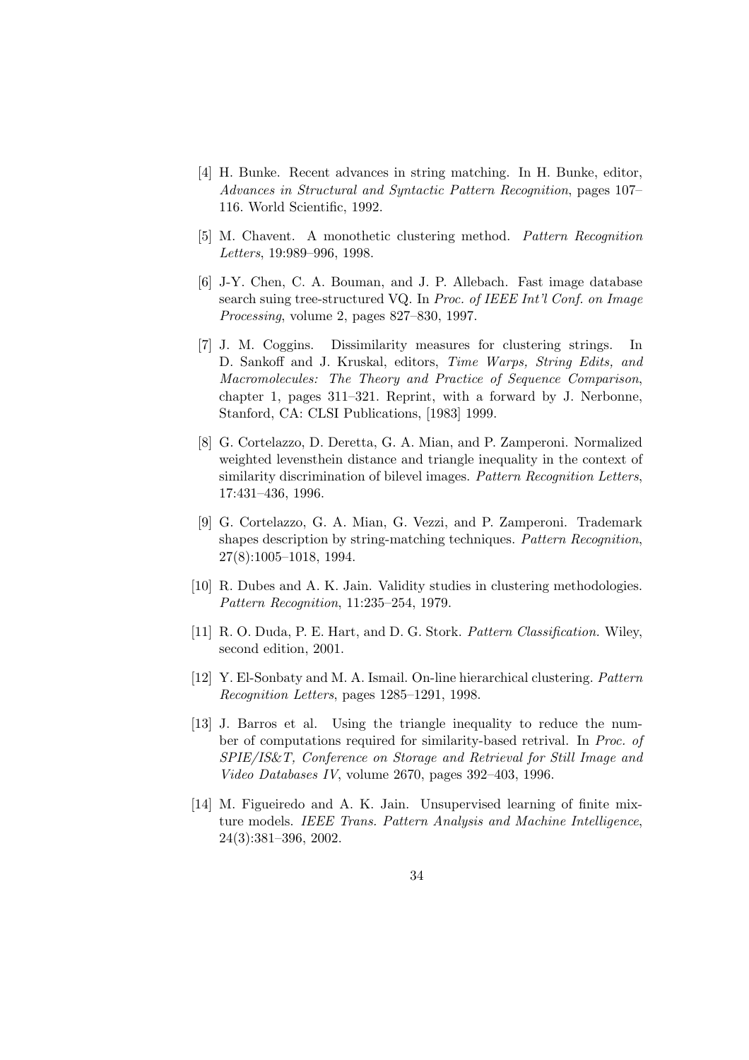- [4] H. Bunke. Recent advances in string matching. In H. Bunke, editor, *Advances in Structural and Syntactic Pattern Recognition*, pages 107– 116. World Scientific, 1992.
- [5] M. Chavent. A monothetic clustering method. *Pattern Recognition Letters*, 19:989–996, 1998.
- [6] J-Y. Chen, C. A. Bouman, and J. P. Allebach. Fast image database search suing tree-structured VQ. In *Proc. of IEEE Int'l Conf. on Image Processing*, volume 2, pages 827–830, 1997.
- [7] J. M. Coggins. Dissimilarity measures for clustering strings. In D. Sankoff and J. Kruskal, editors, *Time Warps, String Edits, and Macromolecules: The Theory and Practice of Sequence Comparison*, chapter 1, pages 311–321. Reprint, with a forward by J. Nerbonne, Stanford, CA: CLSI Publications, [1983] 1999.
- [8] G. Cortelazzo, D. Deretta, G. A. Mian, and P. Zamperoni. Normalized weighted levensthein distance and triangle inequality in the context of similarity discrimination of bilevel images. *Pattern Recognition Letters*, 17:431–436, 1996.
- [9] G. Cortelazzo, G. A. Mian, G. Vezzi, and P. Zamperoni. Trademark shapes description by string-matching techniques. *Pattern Recognition*, 27(8):1005–1018, 1994.
- [10] R. Dubes and A. K. Jain. Validity studies in clustering methodologies. *Pattern Recognition*, 11:235–254, 1979.
- [11] R. O. Duda, P. E. Hart, and D. G. Stork. *Pattern Classification.* Wiley, second edition, 2001.
- [12] Y. El-Sonbaty and M. A. Ismail. On-line hierarchical clustering. *Pattern Recognition Letters*, pages 1285–1291, 1998.
- [13] J. Barros et al. Using the triangle inequality to reduce the number of computations required for similarity-based retrival. In *Proc. of SPIE/IS&T, Conference on Storage and Retrieval for Still Image and Video Databases IV*, volume 2670, pages 392–403, 1996.
- [14] M. Figueiredo and A. K. Jain. Unsupervised learning of finite mixture models. *IEEE Trans. Pattern Analysis and Machine Intelligence*, 24(3):381–396, 2002.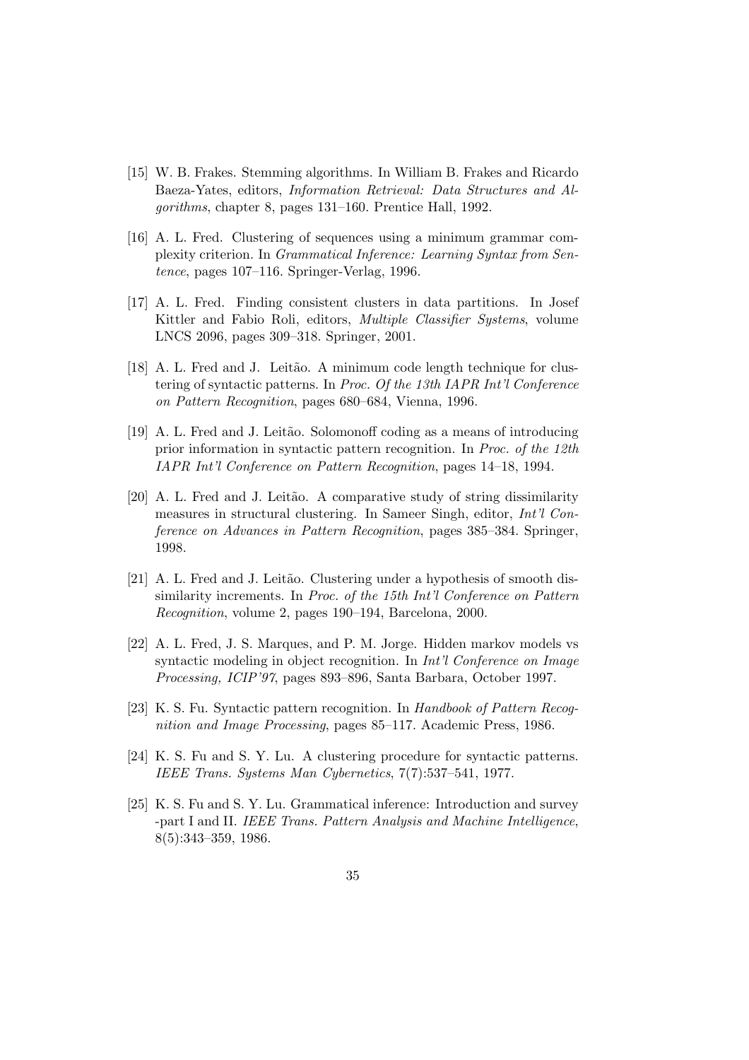- [15] W. B. Frakes. Stemming algorithms. In William B. Frakes and Ricardo Baeza-Yates, editors, *Information Retrieval: Data Structures and Algorithms*, chapter 8, pages 131–160. Prentice Hall, 1992.
- [16] A. L. Fred. Clustering of sequences using a minimum grammar complexity criterion. In *Grammatical Inference: Learning Syntax from Sentence*, pages 107–116. Springer-Verlag, 1996.
- [17] A. L. Fred. Finding consistent clusters in data partitions. In Josef Kittler and Fabio Roli, editors, *Multiple Classifier Systems*, volume LNCS 2096, pages 309–318. Springer, 2001.
- [18] A. L. Fred and J. Leitão. A minimum code length technique for clustering of syntactic patterns. In *Proc. Of the 13th IAPR Int'l Conference on Pattern Recognition*, pages 680–684, Vienna, 1996.
- [19] A. L. Fred and J. Leitão. Solomonoff coding as a means of introducing prior information in syntactic pattern recognition. In *Proc. of the 12th IAPR Int'l Conference on Pattern Recognition*, pages 14–18, 1994.
- [20] A. L. Fred and J. Leitão. A comparative study of string dissimilarity measures in structural clustering. In Sameer Singh, editor, *Int'l Conference on Advances in Pattern Recognition*, pages 385–384. Springer, 1998.
- [21] A. L. Fred and J. Leitão. Clustering under a hypothesis of smooth dissimilarity increments. In *Proc. of the 15th Int'l Conference on Pattern Recognition*, volume 2, pages 190–194, Barcelona, 2000.
- [22] A. L. Fred, J. S. Marques, and P. M. Jorge. Hidden markov models vs syntactic modeling in object recognition. In *Int'l Conference on Image Processing, ICIP'97*, pages 893–896, Santa Barbara, October 1997.
- [23] K. S. Fu. Syntactic pattern recognition. In *Handbook of Pattern Recognition and Image Processing*, pages 85–117. Academic Press, 1986.
- [24] K. S. Fu and S. Y. Lu. A clustering procedure for syntactic patterns. *IEEE Trans. Systems Man Cybernetics*, 7(7):537–541, 1977.
- [25] K. S. Fu and S. Y. Lu. Grammatical inference: Introduction and survey -part I and II. *IEEE Trans. Pattern Analysis and Machine Intelligence*, 8(5):343–359, 1986.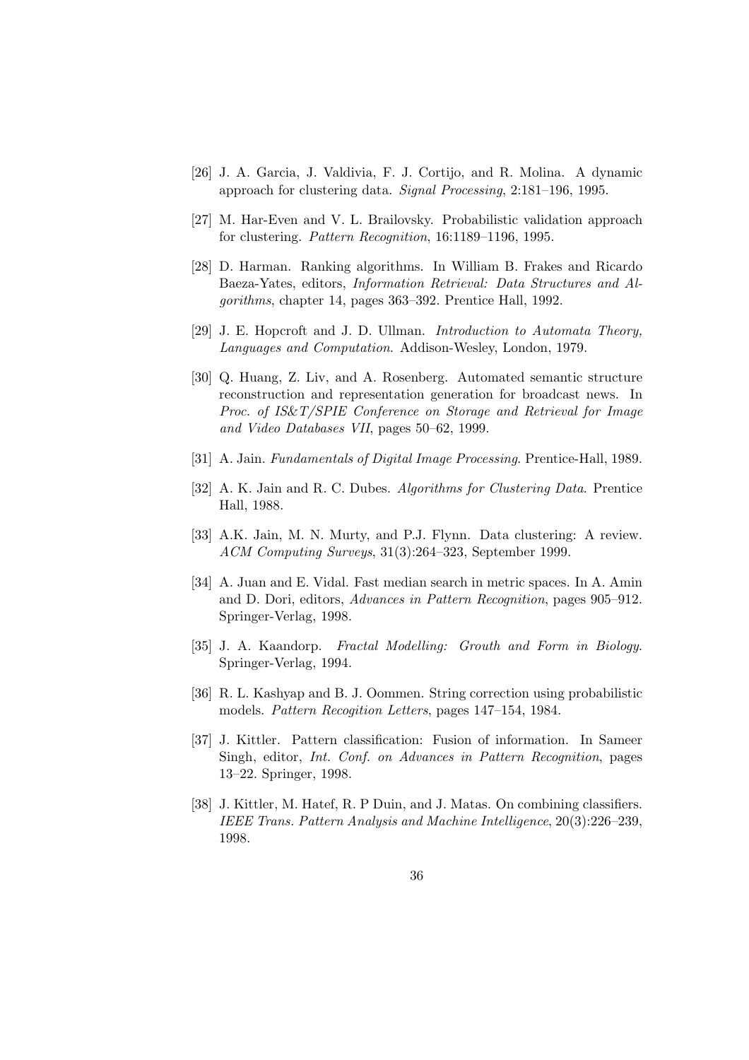- [26] J. A. Garcia, J. Valdivia, F. J. Cortijo, and R. Molina. A dynamic approach for clustering data. *Signal Processing*, 2:181–196, 1995.
- [27] M. Har-Even and V. L. Brailovsky. Probabilistic validation approach for clustering. *Pattern Recognition*, 16:1189–1196, 1995.
- [28] D. Harman. Ranking algorithms. In William B. Frakes and Ricardo Baeza-Yates, editors, *Information Retrieval: Data Structures and Algorithms*, chapter 14, pages 363–392. Prentice Hall, 1992.
- [29] J. E. Hopcroft and J. D. Ullman. *Introduction to Automata Theory, Languages and Computation*. Addison-Wesley, London, 1979.
- [30] Q. Huang, Z. Liv, and A. Rosenberg. Automated semantic structure reconstruction and representation generation for broadcast news. In *Proc. of IS&T/SPIE Conference on Storage and Retrieval for Image and Video Databases VII*, pages 50–62, 1999.
- [31] A. Jain. *Fundamentals of Digital Image Processing*. Prentice-Hall, 1989.
- [32] A. K. Jain and R. C. Dubes. *Algorithms for Clustering Data*. Prentice Hall, 1988.
- [33] A.K. Jain, M. N. Murty, and P.J. Flynn. Data clustering: A review. *ACM Computing Surveys*, 31(3):264–323, September 1999.
- [34] A. Juan and E. Vidal. Fast median search in metric spaces. In A. Amin and D. Dori, editors, *Advances in Pattern Recognition*, pages 905–912. Springer-Verlag, 1998.
- [35] J. A. Kaandorp. *Fractal Modelling: Grouth and Form in Biology*. Springer-Verlag, 1994.
- [36] R. L. Kashyap and B. J. Oommen. String correction using probabilistic models. *Pattern Recogition Letters*, pages 147–154, 1984.
- [37] J. Kittler. Pattern classification: Fusion of information. In Sameer Singh, editor, *Int. Conf. on Advances in Pattern Recognition*, pages 13–22. Springer, 1998.
- [38] J. Kittler, M. Hatef, R. P Duin, and J. Matas. On combining classifiers. *IEEE Trans. Pattern Analysis and Machine Intelligence*, 20(3):226–239, 1998.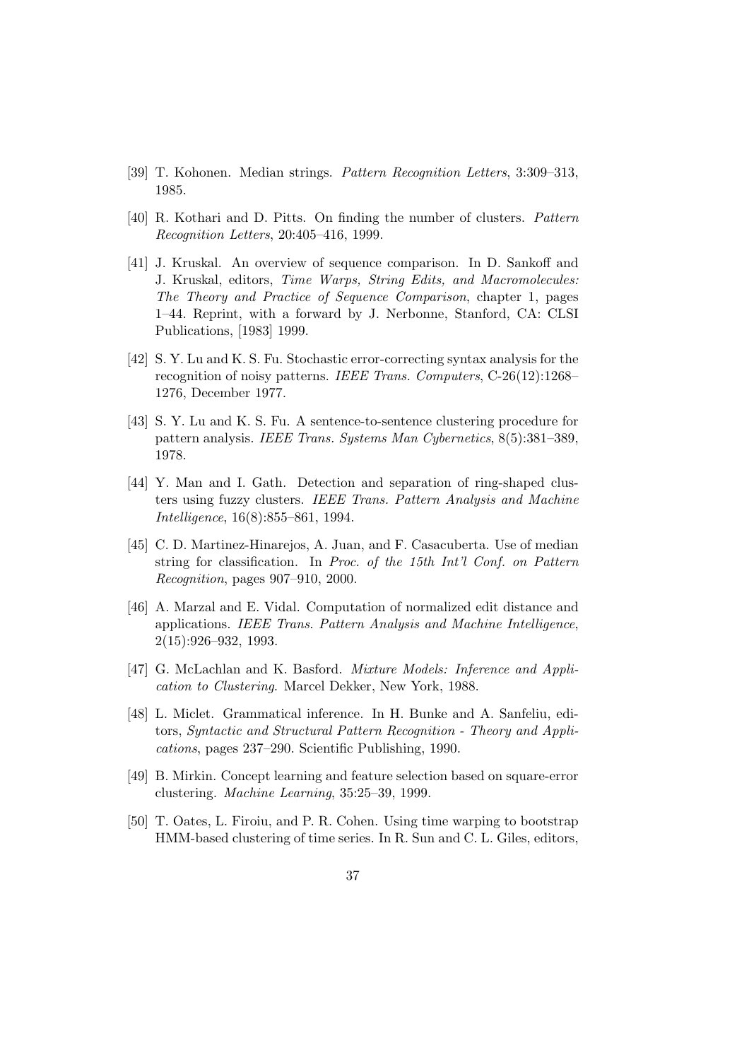- [39] T. Kohonen. Median strings. *Pattern Recognition Letters*, 3:309–313, 1985.
- [40] R. Kothari and D. Pitts. On finding the number of clusters. *Pattern Recognition Letters*, 20:405–416, 1999.
- [41] J. Kruskal. An overview of sequence comparison. In D. Sankoff and J. Kruskal, editors, *Time Warps, String Edits, and Macromolecules: The Theory and Practice of Sequence Comparison*, chapter 1, pages 1–44. Reprint, with a forward by J. Nerbonne, Stanford, CA: CLSI Publications, [1983] 1999.
- [42] S. Y. Lu and K. S. Fu. Stochastic error-correcting syntax analysis for the recognition of noisy patterns. *IEEE Trans. Computers*, C-26(12):1268– 1276, December 1977.
- [43] S. Y. Lu and K. S. Fu. A sentence-to-sentence clustering procedure for pattern analysis. *IEEE Trans. Systems Man Cybernetics*, 8(5):381–389, 1978.
- [44] Y. Man and I. Gath. Detection and separation of ring-shaped clusters using fuzzy clusters. *IEEE Trans. Pattern Analysis and Machine Intelligence*, 16(8):855–861, 1994.
- [45] C. D. Martinez-Hinarejos, A. Juan, and F. Casacuberta. Use of median string for classification. In *Proc. of the 15th Int'l Conf. on Pattern Recognition*, pages 907–910, 2000.
- [46] A. Marzal and E. Vidal. Computation of normalized edit distance and applications. *IEEE Trans. Pattern Analysis and Machine Intelligence*, 2(15):926–932, 1993.
- [47] G. McLachlan and K. Basford. *Mixture Models: Inference and Application to Clustering*. Marcel Dekker, New York, 1988.
- [48] L. Miclet. Grammatical inference. In H. Bunke and A. Sanfeliu, editors, *Syntactic and Structural Pattern Recognition - Theory and Applications*, pages 237–290. Scientific Publishing, 1990.
- [49] B. Mirkin. Concept learning and feature selection based on square-error clustering. *Machine Learning*, 35:25–39, 1999.
- [50] T. Oates, L. Firoiu, and P. R. Cohen. Using time warping to bootstrap HMM-based clustering of time series. In R. Sun and C. L. Giles, editors,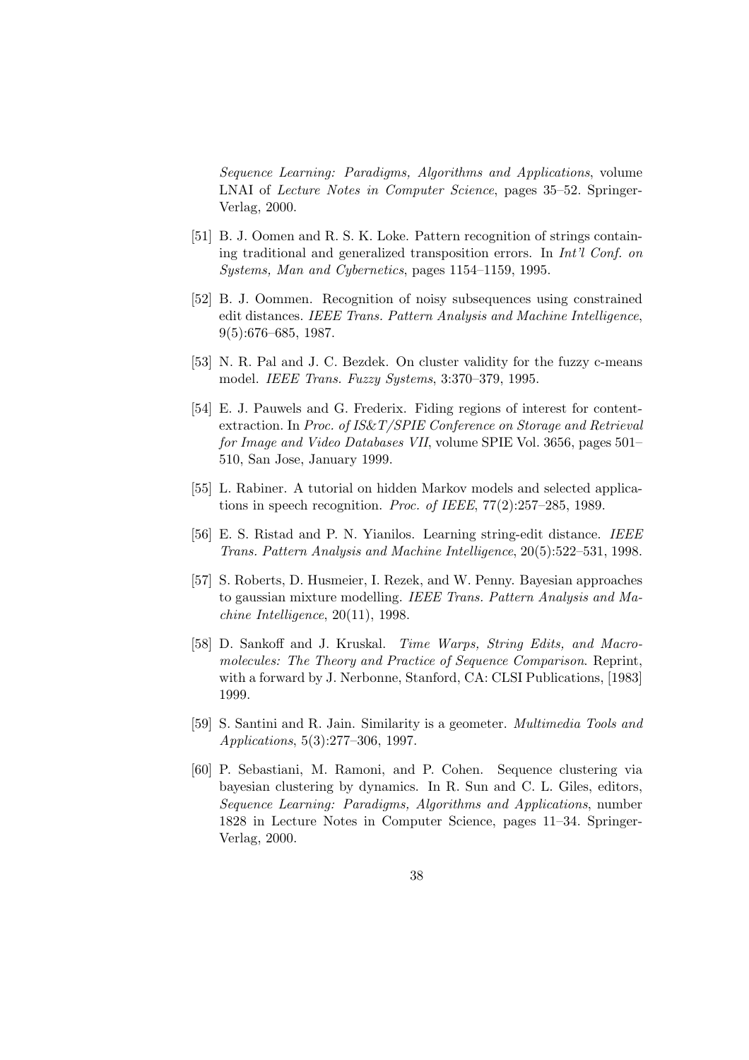*Sequence Learning: Paradigms, Algorithms and Applications*, volume LNAI of *Lecture Notes in Computer Science*, pages 35–52. Springer-Verlag, 2000.

- [51] B. J. Oomen and R. S. K. Loke. Pattern recognition of strings containing traditional and generalized transposition errors. In *Int'l Conf. on Systems, Man and Cybernetics*, pages 1154–1159, 1995.
- [52] B. J. Oommen. Recognition of noisy subsequences using constrained edit distances. *IEEE Trans. Pattern Analysis and Machine Intelligence*, 9(5):676–685, 1987.
- [53] N. R. Pal and J. C. Bezdek. On cluster validity for the fuzzy c-means model. *IEEE Trans. Fuzzy Systems*, 3:370–379, 1995.
- [54] E. J. Pauwels and G. Frederix. Fiding regions of interest for contentextraction. In *Proc. of IS&T/SPIE Conference on Storage and Retrieval for Image and Video Databases VII*, volume SPIE Vol. 3656, pages 501– 510, San Jose, January 1999.
- [55] L. Rabiner. A tutorial on hidden Markov models and selected applications in speech recognition. *Proc. of IEEE*, 77(2):257–285, 1989.
- [56] E. S. Ristad and P. N. Yianilos. Learning string-edit distance. *IEEE Trans. Pattern Analysis and Machine Intelligence*, 20(5):522–531, 1998.
- [57] S. Roberts, D. Husmeier, I. Rezek, and W. Penny. Bayesian approaches to gaussian mixture modelling. *IEEE Trans. Pattern Analysis and Machine Intelligence*, 20(11), 1998.
- [58] D. Sankoff and J. Kruskal. *Time Warps, String Edits, and Macromolecules: The Theory and Practice of Sequence Comparison*. Reprint, with a forward by J. Nerbonne, Stanford, CA: CLSI Publications, [1983] 1999.
- [59] S. Santini and R. Jain. Similarity is a geometer. *Multimedia Tools and Applications*, 5(3):277–306, 1997.
- [60] P. Sebastiani, M. Ramoni, and P. Cohen. Sequence clustering via bayesian clustering by dynamics. In R. Sun and C. L. Giles, editors, *Sequence Learning: Paradigms, Algorithms and Applications*, number 1828 in Lecture Notes in Computer Science, pages 11–34. Springer-Verlag, 2000.